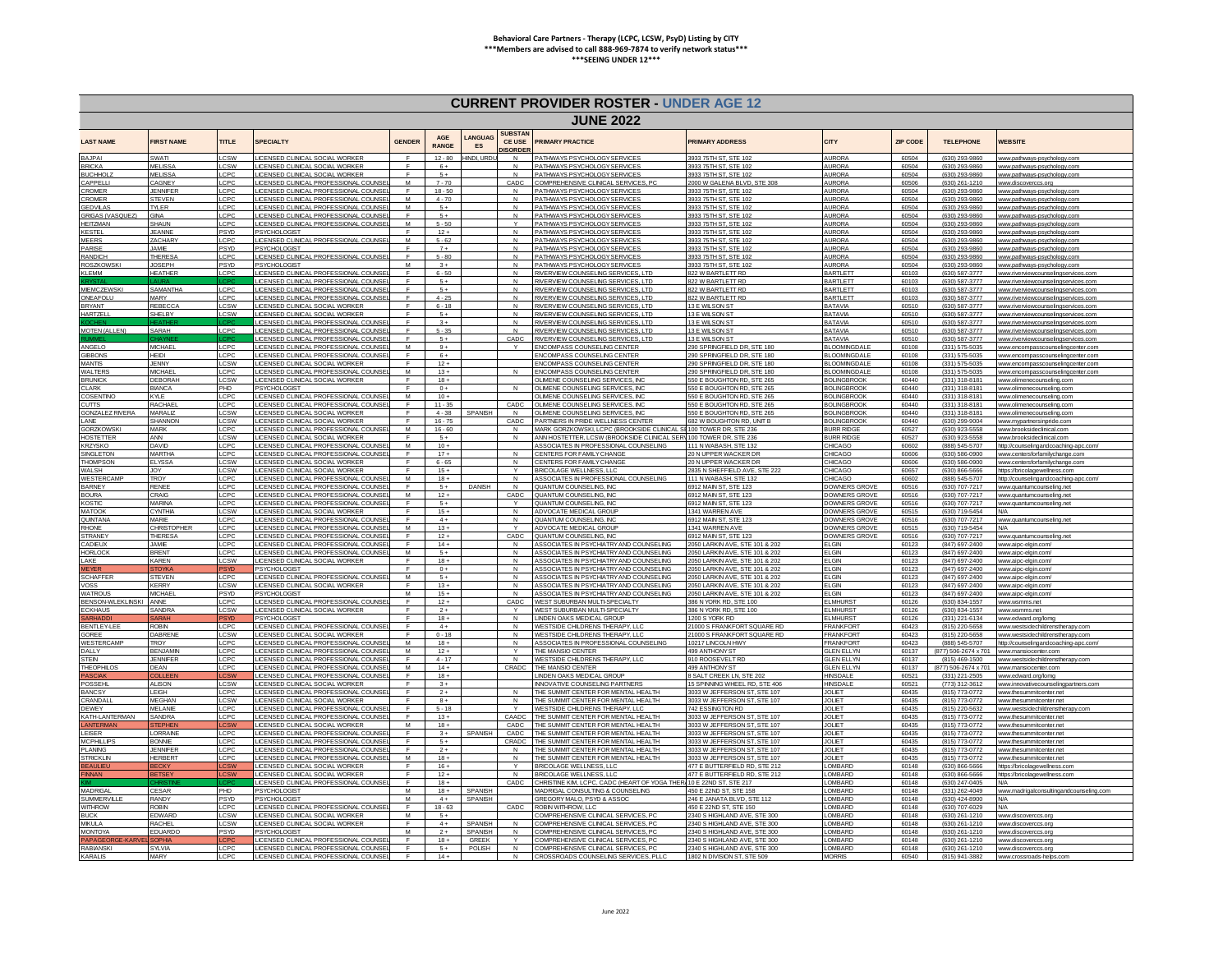| <b>CURRENT PROVIDER ROSTER - UNDER AGE 12</b> |                                 |                          |                                                                                |                     |                       |                                |                                                  |                                                                                    |                                                                 |                                            |                 |                                        |                                                                            |
|-----------------------------------------------|---------------------------------|--------------------------|--------------------------------------------------------------------------------|---------------------|-----------------------|--------------------------------|--------------------------------------------------|------------------------------------------------------------------------------------|-----------------------------------------------------------------|--------------------------------------------|-----------------|----------------------------------------|----------------------------------------------------------------------------|
| <b>JUNE 2022</b>                              |                                 |                          |                                                                                |                     |                       |                                |                                                  |                                                                                    |                                                                 |                                            |                 |                                        |                                                                            |
| <b>LAST NAME</b>                              | <b>FIRST NAME</b>               | <b>TITLE</b>             | <b>SPECIAL TY</b>                                                              | <b>GENDER</b>       | AGE<br>RANGE          | ANGUAG<br>ES                   | <b>SUBSTAN</b><br><b>CE USE</b><br><b>ISORDE</b> | PRIMARY PRACTICE                                                                   | <b>PRIMARY ADDRESS</b>                                          | CITY                                       | <b>ZIP CODE</b> | <b>TELEPHONE</b>                       | WERSITE                                                                    |
| <b>BAJPAI</b>                                 | SWATI                           | LCSW                     | LICENSED CLINICAL SOCIAL WORKER                                                | F                   | $12 - 80$             | NDI, URD                       | N                                                | PATHWAYS PSYCHOLOGY SERVICES                                                       | 3933 75TH ST, STE 102                                           | <b>AURORA</b>                              | 60504           | (630) 293-9860                         | www.pathways-psychology.co                                                 |
| <b>BRICKA</b><br>BUCHHOL                      | MFI ISSA<br><b>MELISSA</b>      | CSW<br>CP <sub>C</sub>   | LICENSED CLINICAL SOCIAL WORKER<br>LICENSED CLINICAL SOCIAL WORKER             | $\mathsf{F}$        | $6+$<br>$5+$          |                                | $\mathsf{N}$<br>N                                | PATHWAYS PSYCHOLOGY SERVICES<br>PATHWAYS PSYCHOLOGY SERVICES                       | 933 75TH ST STE 10<br>3933 75TH ST, STE 102                     | <b>AURORA</b><br><b>AURORA</b>             | 60504<br>60504  | (630) 293-9860<br>(630) 293-9860       | www.pathways-psychology.c<br>www.pathways-psychology.com                   |
| APPELLI                                       | CAGNEY                          | LCPC                     | LICENSED CLINICAL PROFESSIONAL COUNSE                                          | M                   | $7 - 70$              |                                | CADC                                             | COMPREHENSIVE CLINICAL SERVICES P                                                  | 2000 W GAI FNA BI VD, STF 30                                    | <b>AURORA</b>                              | 60506           | (630) 261-1210                         | ww.discoverccs.or                                                          |
| <b>ROMER</b>                                  | <b>IFNNIFFR</b>                 | LCPC                     | LICENSED CLINICAL PROFESSIONAL COUNSE                                          | F<br>M              | $18 - 50$             |                                | N                                                | PATHWAYS PSYCHOLOGY SERVICES                                                       | 3933 75TH ST, STE 102                                           | <b>AURORA</b>                              | 60504           | (630) 293-9860                         | www.pathways-psychology.com                                                |
| <b>ROMER</b><br><b>GEDVILAS</b>               | <b>STEVEN</b><br><b>TYLER</b>   | CP <sub>C</sub><br>LCPO  | LICENSED CLINICAL PROFESSIONAL COUNSE<br>LICENSED CLINICAL PROFESSIONAL COUNSE | M                   | $4 - 70$<br>$5+$      |                                | N<br>N                                           | PATHWAYS PSYCHOLOGY SERVICES<br>PATHWAYS PSYCHOLOGY SERVICES                       | 3933 75TH ST, STE 10<br>3933 75TH ST, STE 102                   | <b>AURORA</b><br><b>AURORA</b>             | 60504<br>60504  | (630) 293-9860<br>$(630)$ 293-9860     | www.pathways-psychology.con<br>www.pathways-psychology.con                 |
| RIGAS (VASQUEZ)                               | GINA                            | LCPC                     | LICENSED CLINICAL PROFESSIONAL COUNSE                                          | -F                  | $5+$                  |                                | N                                                | PATHWAYS PSYCHOLOGY SERVICES                                                       | 3933 75TH ST, STE 102                                           | <b>AURORA</b>                              | 60504           | (630) 293-9860                         | www.pathways-psychology.com                                                |
| HF ITZMAN<br>KESTEL                           | SHAUN<br><b>IFANNE</b>          | LCPC<br><b>PSYD</b>      | LICENSED CLINICAL PROFESSIONAL COUNSE<br><b>PSYCHOLOGIST</b>                   | M<br>F              | $5 - 50$<br>$12 +$    |                                | $\vee$<br>N                                      | PATHWAYS PSYCHOLOGY SERVICES<br>PATHWAYS PSYCHOLOGY SERVICES                       | 3933 75TH ST, STE 102<br>3933 75TH ST STF 102                   | <b>AURORA</b><br><b>AURORA</b>             | 60504<br>60504  | (630) 293-9860<br>(630) 293-9860       | www.pathways-psychology.com                                                |
| MEERS                                         | <b>ZACHARY</b>                  | CPC                      | LICENSED CLINICAL PROFESSIONAL COUNS                                           | M                   | $5 - 62$              |                                | $\mathsf N$                                      | PATHWAYS PSYCHOLOGY SERVICES                                                       | 3933 75TH ST, STE 102                                           | <b>AURORA</b>                              | 60504           | (630) 293-9860                         | www.pathways-psychology.com<br>www.pathways-psychology.cor                 |
| ARISE                                         | <b>JAMIF</b>                    | PSYD                     | PSYCHOLOGIST                                                                   |                     | $7+$                  |                                | $\mathsf{N}$                                     | PATHWAYS PSYCHOLOGY SERVICES                                                       | 3933 75TH ST, STE 102                                           | <b>AURORA</b>                              | 60504           | (630) 293-9860                         | www.pathways-psychology.co                                                 |
| <b>RANDICH</b><br><b>ROSZKOWS</b>             | THERESA<br><b>IOSEPH</b>        | LCPC<br>PSYD             | LICENSED CLINICAL PROFESSIONAL COUNSE<br>PSYCHOLOGIST                          | $\mathsf{F}$<br>M   | $5 - 80$<br>$-3 +$    |                                | $\mathsf{N}$<br>N                                | PATHWAYS PSYCHOLOGY SERVICES<br>PATHWAYS PSYCHOLOGY SERVICES                       | 3933 75TH ST, STE 102<br>3933 75TH ST STE 102                   | <b>AURORA</b><br>ALIRORA                   | 60504<br>60504  | (630) 293-9860<br>(630) 293-9860       | www.pathways-psychology.con<br>www.pathways-psychology.                    |
| KI FMM                                        | <b>HEATHER</b>                  | LCPC                     | LICENSED CLINICAL PROFESSIONAL COUNSE                                          | E                   | $6 - 50$              |                                | N                                                | RIVERVIEW COUNSELING SERVICES, LTD                                                 | <b>822 W BARTLETT RD</b>                                        | <b>BARTLETT</b>                            | 60103           | (630) 587-3777                         | www.riverviewcounselingservices.co                                         |
|                                               | <b>SAMANTHA</b>                 | LCP <sub>C</sub>         | ICENSED CLINICAL PROFESSIONAL COUNSE                                           | F.                  | $5+$<br>$5+$          |                                | N                                                | RIVERVIEW COUNSELING SERVICES, LTD                                                 | 822 W BARTLETT RD                                               | <b>BARTLETT</b>                            | 60103           | (630) 587-3777                         | www.riverviewcounselingservices.co                                         |
| <b>MIEMCZEWSK</b><br><b>INFAFOILI</b>         | MARY                            | LCPC                     | LICENSED CLINICAL PROFESSIONAL COUNSE<br>LICENSED CLINICAL PROFESSIONAL COUNSE | E                   | $4 - 25$              |                                | $\mathsf{N}$<br>N                                | RIVERVIEW COUNSELING SERVICES, LTD<br>RIVERVIEW COUNSELING SERVICES LTD            | 822 W BARTLETT RD<br>822 W BARTLETT RD                          | <b>BARTLETT</b><br><b>BARTI FTT</b>        | 60103<br>60103  | (630) 587-3777<br>(630) 587-3777       | www.riverviewcounselingservices.co<br>www.riverviewcounselingservices.com  |
| <b>BRYANT</b>                                 | <b>REBECCA</b>                  | <b>CSW</b>               | LICENSED CLINICAL SOCIAL WORKER                                                | F                   | $6 - 18$              |                                | N                                                | RIVERVIEW COUNSELING SERVICES. I TD                                                | 13 F WILSON ST                                                  | <b>BATAVIA</b>                             | 60510           | (630) 587-3777                         | www.riverviewcounselingservices.com                                        |
| HARTZELL                                      | SHELBY                          | <b>ICSW</b>              | LICENSED CLINICAL SOCIAL WORKER<br>ICENSED CLINICAL PROFESSIONAL COUNSE        | F                   | $5+$<br>$3+$          |                                | N<br>N                                           | RIVERVIEW COUNSELING SERVICES. LTD<br>RIVERVIEW COUNSELING SERVICES. LTD           | 13 E WILSON ST<br>13 E WILSON S'                                | <b>BATAVIA</b><br><b>BATAVIA</b>           | 60510<br>60510  | (630) 587-3777<br>(630) 587-3777       | www.riverviewcounselingservices.com<br>www.riverviewcounselinaservices.com |
| <b>MOTEN (ALLEN)</b>                          | SARAH                           | LCPC                     | LICENSED CLINICAL PROFESSIONAL COUNSE                                          |                     | $5 - 35$              |                                | N                                                | RIVERVIEW COUNSELING SERVICES, LTD                                                 | 13 E WILSON ST                                                  | <b>BATAVIA</b>                             | 60510           | (630) 587-3777                         | www.riverviewcounselingservices.con                                        |
|                                               |                                 |                          | <b>ICENSED CLINICAL PROFESSIONAL COUNSE</b>                                    | E                   | $-5+$                 |                                | CADC                                             | RIVERVIEW COUNSELING SERVICES. LTD                                                 | 13 F WILSON ST                                                  | <b>BATAVIA</b>                             | 60510           | (630) 587-3777                         | www.riverviewcounselingservices.con                                        |
| ANGELO                                        | <b>MICHAEL</b>                  | LCPC                     | LICENSED CLINICAL PROFESSIONAL COLINSE                                         | M<br>E.             | $9+$                  |                                |                                                  | <b>ENCOMPASS COUNSELING CENTER</b>                                                 | 290 SPRINGFIELD DR. STE 180                                     | <b>BI OOMINGDAI</b>                        | 60108           | (331) 575-5035                         | www.encompasscounselingce                                                  |
| <b>JBBONS</b><br><b>IANTIS</b>                | <b>HEIDI</b><br>JENNY           | CPC<br>CSW               | LICENSED CLINICAL PROFESSIONAL COUNSE<br>LICENSED CLINICAL SOCIAL WORKER       |                     | $6+$<br>$12 +$        |                                |                                                  | <b>ENCOMPASS COUNSELING CENTER</b><br><b>ENCOMPASS COUNSELING CENTER</b>           | 290 SPRINGFIELD DR. STE 180<br>90 SPRINGFIELD DR. STE 180       | <b>BLOOMINGDALE</b><br><b>BLOOMINGDALE</b> | 60108<br>60108  | (331) 575-5035<br>(331) 575-5035       | www.encompasscounselingcenter.cor<br>www.encompasscounselingcenter.con     |
| <b>NALTERS</b>                                | <b>MICHAE</b>                   | CPC                      | LICENSED CLINICAL PROFESSIONAL COUNS                                           | M                   | $13 +$                |                                |                                                  | <b>ENCOMPASS COUNSELING CENTER</b>                                                 | 290 SPRINGFIELD DR. STE 180                                     | <b>BLOOMINGDALE</b>                        | 60108           | (331) 575-5035                         | www.encompasscounselingcenter.c                                            |
| <b>BRUNICK</b><br><b>ILARK</b>                | <b>DEBORAH</b><br><b>RIANCA</b> | CSW<br>PHD.              | LICENSED CLINICAL SOCIAL WORKER<br>PSYCHOLOGIST                                | F                   | $18 +$<br>$0+$        |                                |                                                  | OI IMENE COUNSELING SERVICES. IN<br>OLIMENE COUNSELING SERVICES. INC.              | 550 F BOUGHTON RD, STE 265<br>550 F BOUGHTON RD, STF 265        | BOLINGBROOK<br><b>BOLINGBROOK</b>          | 60440<br>60440  | (331) 318-8181<br>(331) 318-8181       | www.olimenecounseling.com                                                  |
| <b>COSENTING</b>                              | <b>KYLE</b>                     | LCPC                     | LICENSED CLINICAL PROFESSIONAL COUNSE                                          | M                   | $10 +$                |                                |                                                  | OLIMENE COUNSELING SERVICES, INC                                                   | 550 E BOUGHTON RD, STE 265                                      | <b>BOLINGBROOK</b>                         | 60440           | (331) 318-8181                         | www.olimenecounseling.com<br>www.olimenecounseling.com                     |
| <b>UTTS</b>                                   | RACHAEL                         | <b>CPC</b>               | LICENSED CLINICAL PROFESSIONAL COUNSE                                          |                     | $11 - 35$             |                                | CADC                                             | <b>ULIMENE COUNSELING SERVICES. INC.</b>                                           | 50 E BOUGHTON RD, STE 265                                       | <b>BOLINGBROOK</b>                         | 60440           | (331) 318-8181                         | www.olimenecounseling.com                                                  |
| GONZALEZ RIVERA<br>ANF                        | MARALIZ<br>SHANNON              | <b>CSW</b>               | LICENSED CLINICAL SOCIAL WORKER<br>LICENSED CLINICAL SOCIAL WORKER             | E                   | $4 - 38$<br>$16 - 75$ | <b>SPANISH</b>                 | N<br>CADC.                                       | OLIMENE COUNSELING SERVICES. INC<br>PARTNERS IN PRIDE WELLNESS CENTER              | 550 E BOUGHTON RD, STE 265<br>682 W BOUGHTON RD UNIT B          | <b>BOLINGBROOK</b><br><b>BOLINGBROOK</b>   | 60440<br>60440  | (331) 318-8181<br>(630) 299-9004       | www.olimenecounseling.con<br>www.mypartnersinoride.com                     |
| <b>GORZKOWSK</b>                              | MARK                            | CSW<br>LCPC              | LICENSED CLINICAL PROFESSIONAL COUNSE                                          | M                   | $16 - 60$             |                                | N                                                | MARK GORZKOWSKI, LCPC (BROOKSIDE CLINICAL S                                        | 1100 TOWER DR STE 236                                           | <b>BURR RIDGE</b>                          | 60527           | (630) 923-5558                         | www.brooksideclinical.com                                                  |
| <b>OSTETTER</b>                               | ANN                             | LCSW                     | LICENSED CLINICAL SOCIAL WORKER                                                | F                   | $-5+$                 |                                | $\mathsf{N}$                                     | ANN HOSTETTER, LCSW (BROOKSIDE CLINICAL SER) 100 TOWER DR. STE 236                 |                                                                 | <b>BURR RIDGE</b>                          | 60527           | (630) 923-5558                         | www.brooksideclinical.com                                                  |
| <b>KRZYSKO</b><br>SINGLETON                   | <b>DAVID</b><br><b>MARTHA</b>   | LCPC<br><b>CPC</b>       | LICENSED CLINICAL PROFESSIONAL COUNSE                                          | M<br>$\mathsf{F}$   | $10 +$<br>$17+$       |                                | $\mathbf{N}$                                     | ASSOCIATES IN PROFESSIONAL COUNSELING                                              | 11 N WARASH STF 132                                             | CHICAGO<br>CHICAGO                         | 60602<br>60606  | (888) 545-5707<br>(630) 586-0900       | http://counselingandcoaching-apc.com                                       |
| <b>HOMPSON</b>                                | <b>ELYSSA</b>                   | .CSW                     | LICENSED CLINICAL PROFESSIONAL COUNSE<br>LICENSED CLINICAL SOCIAL WORKER       | $\mathsf{F}$        | $6 - 65$              |                                | N                                                | CENTERS FOR FAMILY CHANGE<br>CENTERS FOR FAMILY CHANGE                             | 20 N UPPER WACKER DR<br>20 N UPPER WACKER DR                    | CHICAGO                                    | 60606           | (630) 586-0900                         | www.centersforfamilychange.com<br>www.centersforfamilychange.con           |
| WALSH                                         | YOL.                            | .CSW                     | LICENSED CLINICAL SOCIAL WORKER                                                | $\blacksquare$      | $15+$                 |                                | $\vee$                                           | <b>BRICOLAGE WELLNESS, LLC</b>                                                     | 2835 N SHEEFIELD AVE STE                                        | CHICAGO                                    | 60657           | (630) 866-5666                         | https://bricolagewellness.c                                                |
| <b>NESTERCAMP</b>                             | TROY<br><b>RENEE</b>            | CPC                      | LICENSED CLINICAL PROFESSIONAL COUNSE<br>LICENSED CLINICAL PROFESSIONAL COUNSE | M                   | $18 +$<br>$5+$        | <b>DANISH</b>                  | $\mathsf{N}$<br>$\mathsf{N}$                     | ASSOCIATES IN PROFESSIONAL COUNSELING<br>QUANTUM COUNSELING, INC                   | 111 N WABASH, STE 132<br>6912 MAIN ST, STE 123                  | CHICAGO<br>DOWNERS GROVE                   | 60602<br>60516  | (888) 545-5707                         | http://counselingandcoaching-apc.com                                       |
| BARNEY<br><b>BOURA</b>                        | CRAIG                           | LCPO<br>LCPC             | LICENSED CLINICAL PROFESSIONAL COUNSEI                                         | M                   | $12 +$                |                                | CADC                                             | QUANTUM COUNSELING. INC                                                            | 6912 MAIN ST, STE 123                                           | <b>DOWNERS GROVE</b>                       | 60516           | (630) 707-7217<br>(630) 707-7217       | www.quantumcounseling.net<br>www.guantumcounseling.net                     |
| <b>COSTIC</b>                                 | MARNA                           | <b>CPC</b>               | LICENSED CLINICAL PROFESSIONAL COUNSEL                                         | F                   | $5+$                  |                                | $\mathsf{v}$                                     | QUANTUM COUNSELING. INC.                                                           | 6912 MAIN ST. STE 123                                           | <b>DOWNERS GROVE</b>                       | 60516           | (630) 707-7217                         | www.quantumcounseling.net                                                  |
| MATOOK<br>QUINTANA                            | CYNTHIA<br>MARIE                | LCSW<br>CPC              | LICENSED CLINICAL SOCIAL WORKER<br>LICENSED CLINICAL PROFESSIONAL COUNS        | E<br>F              | $15+$<br>$4+$         |                                | N<br>$\mathsf N$                                 | ADVOCATE MEDICAL GROUP<br>QUANTUM COUNSELING, INC                                  | 1341 WARREN AVE<br>6912 MAIN ST, STE 123                        | <b>DOWNERS GROVE</b><br>DOWNERS GROVE      | 60515<br>60516  | (630) 719-5454<br>(630) 707-7217       | N/A<br>www.quantumcounseling.net                                           |
| HONE                                          | CHRISTOPHER                     | <b>CPC</b>               | <b>JCENSED CLINICAL PROFESSIONAL COUNSE</b>                                    | M                   | $13 +$                |                                |                                                  | ADVOCATE MEDICAL GROUP                                                             | 1341 WARREN AVE                                                 | <b>DOWNERS GROVE</b>                       | 60515           | (630) 719-5454                         | <b>N/A</b>                                                                 |
| <b>STRANEY</b>                                | THERESA                         | <b>CPC</b>               | LICENSED CLINICAL PROFESSIONAL COUNSE                                          | $\mathsf{F}$        | $12+$                 |                                | CADC                                             | QUANTUM COUNSELING. INC.                                                           | 6912 MAIN ST, STE 123                                           | <b>DOWNERS GROVE</b>                       | 60516           | (630) 707-7217                         | www.quantumcounseling.net                                                  |
| <b>ADIEUX</b><br><b>IORLOCK</b>               | <b>JAME</b><br><b>BRENT</b>     | CPC<br>CPC               | LICENSED CLINICAL PROFESSIONAL COUNSE<br>LICENSED CLINICAL PROFESSIONAL COUNSE | E<br>M              | $14 +$<br>$5+$        |                                | N<br>N                                           | ASSOCIATES IN PSYCHIATRY AND COUNSELING<br>ASSOCIATES IN PSYCHIATRY AND COUNSELING | 2050 LARKIN AVE, STE 101 & 202<br>050 LARKIN AVE, STE 101 & 202 | FI GIN<br>ELGIN                            | 60123<br>60123  | (847) 697-2400<br>(847) 697-2400       | www.aipc-elgin.com/<br>www.aipc-elgin.com                                  |
| <b>AKE</b>                                    | KAREN                           | .csw                     | LICENSED CLINICAL SOCIAL WORKER                                                | F                   | $18 +$                |                                | $\mathsf{N}$                                     | ASSOCIATES IN PSYCHIATRY AND COUNSELING                                            | 2050 LARKIN AVE, STE 101 & 202                                  | <b>ELGIN</b>                               | 60123           | (847) 697-2400                         | www.aipc-elgin.com                                                         |
| FYFI                                          | <b>TOYKA</b>                    |                          | <b>SYCHOLOGIST</b>                                                             | M                   | $0+$                  |                                | $\overline{N}$                                   | ASSOCIATES IN PSYCHIATRY AND COUNSELING                                            | 050 LARKIN AVE STE 101 & 201                                    | ELGIN                                      | 60123           | (847) 697-2400                         | www.aipc-elgin.com                                                         |
| <b>SCHAFFFE</b><br><b>OSS</b>                 | <b>STEVEN</b><br><b>KERRY</b>   | <b>CPC</b><br><b>CSW</b> | LICENSED CLINICAL PROFESSIONAL COUNSE<br>LICENSED CLINICAL SOCIAL WORKER       | F                   | $-5+$<br>$13+$        |                                | N<br>N                                           | ASSOCIATES IN PSYCHIATRY AND COUNSELING<br>ASSOCIATES IN PSYCHIATRY AND COUNSELING | 2050   ARKIN AVE STE 101 & 202<br>2050 LARKIN AVE STE 101 & 202 | FI GIN<br>FI GIN                           | 60123<br>60123  | (847) 697-2400<br>(847) 697-2400       | www.ainc-elgin.com<br>www.aipc-elgin.com/                                  |
| WATROUS                                       | <b>MICHAEL</b>                  | PSYD                     | <b>PSYCHOLOGIST</b>                                                            | M                   | $15+$                 |                                | $\mathsf N$                                      | ASSOCIATES IN PSYCHIATRY AND COUNSELING                                            | 050 LARKIN AVE, STE 101 & 202                                   | <b>ELGIN</b>                               | 60123           | (847) 697-2400                         | www.aipc-elgin.com                                                         |
| <b>BENSON-WLEKLINSH</b>                       | <b>ANNE</b>                     | LCPC                     | LICENSED CLINICAL PROFESSIONAL COUNS                                           | F                   | $12 +$                |                                | CADC                                             | WEST SUBURBAN MULTI-SPECIALTY                                                      | 386 N YORK RD, STE 100                                          | <b>ELMHURS</b><br>FI MHURS                 | 60126           | (630) 834-1557                         | www.wsmms.net                                                              |
| CKHAUS                                        | SANDRA                          | CSW                      | LICENSED CLINICAL SOCIAL WORKER<br><b>PSYCHOLOGIST</b>                         |                     | $2+$<br>$18 +$        |                                | N                                                | WEST SUBURBAN MULTI-SPECIALTY<br>LINDEN OAKS MEDICAL GROUP                         | 386 N YORK RD, STE 100<br>1200 S YORK RD                        | <b>ELMHURST</b>                            | 60126<br>60126  | (630) 834-1557<br>(331) 221-6134       | www.wsmms.net<br>www.edward.org/lom                                        |
| BENTLEY-LEE                                   | <b>ROBIN</b>                    | LCPC                     | LICENSED CLINICAL PROFESSIONAL COUNSEL                                         | F                   | $4+$                  |                                | N                                                | WESTSIDE CHI DRENS THERAPY LLC                                                     | 21000 S FRANKFORT SOUARE RD                                     | <b>FRANKFORT</b>                           | 60423           | (815) 220-5658                         | www.westsidechildrenstherapv.com                                           |
| <b>SOREE</b><br><b>NESTERCAME</b>             | DABREN<br><b>TROY</b>           | .CSW<br><b>CPC</b>       | LICENSED CLINICAL SOCIAL WORKER<br><b>ICENSED CLINICAL PROFESSIONAL COUNS</b>  | $\mathsf{F}$<br>M   | $0 - 18$<br>$18 +$    |                                | $\mathsf{N}$<br>$\mathsf{N}$                     | WESTSIDE CHILDRENS THERAPY, LLC<br>ASSOCIATES IN PROFESSIONAL COUNSELING           | 21000 S FRANKFORT SQUARE RD<br>10217   INCOLN HWY               | <b>FRANKFORT</b><br><b>FRANKFORT</b>       | 60423<br>60423  | (815) 220-5658<br>(888) 545-5707       | www.wests<br>childrenstherapv.cor                                          |
| DALLY                                         | <b>BENJAMIN</b>                 | CPC                      | LICENSED CLINICAL PROFESSIONAL COUNSE                                          | M                   | $12 +$                |                                |                                                  | THE MANSIO CENTER                                                                  | 499 ANTHONY ST                                                  | <b>GLEN ELLYN</b>                          | 60137           | (877) 506-2674 x 701                   | http://counselingandcoaching-ap<br>www.mansiocenter.com                    |
| <b>STEN</b>                                   | JENNIFER                        | <b>CPC</b>               | LICENSED CLINICAL PROFESSIONAL COUNSE                                          | $\mathsf{F}$        | $4 - 17$              |                                | N                                                | WESTSIDE CHI DRENS THERAPY LLC                                                     | 910 ROOSEVELT RD                                                | GLEN FLLYN                                 | 60137           | (815) 469-1500                         | www.westsidechildrenstherany.c                                             |
| THEOPHILOS                                    | DEAN                            | LCPC                     | LICENSED CLINICAL PROFESSIONAL COUNSEL<br>LICENSED CLINICAL PROFESSIONAL COUNS | M<br>F.             | $14 +$<br>$18 +$      |                                |                                                  | CRADC THE MANSIO CENTER<br>INDEN OAKS MEDICAL GROU                                 | 499 ANTHONY ST<br><b>SALT CREEK LN, STE 20:</b>                 | GLEN ELLYN<br><b>HINSDALI</b>              | 60137<br>60521  | (877) 506-2674 y 701<br>(331) 221-2505 | www.mansiocenter.com<br>www.edward.org/lomg                                |
| POSSEHI                                       | OLLEI<br><b>ALISON</b>          | LCSW                     | LICENSED CLINICAL SOCIAL WORKER                                                |                     | $3+$                  |                                |                                                  | <b>INNOVATIVE COUNSELING PARTNERS</b>                                              | 15 SPINNING WHEEL RD, STE 40                                    | <b>HINSDALI</b>                            | 60521           | (773) 312-3612                         | www.innovativecounselingpartners.con                                       |
| <b>ANCSY</b>                                  | LEIGH                           | LCPC                     | LICENSED CLINICAL PROFESSIONAL COUNSE                                          |                     | $2+$                  |                                | N                                                | THE SUMMIT CENTER FOR MENTAL HEALTH                                                | 3033 W JEFFERSON ST, STE 101                                    | <b>JOLIET</b>                              | 60435           | (815) 773-0772                         | www.thesummitcenter.net                                                    |
| <b>RANDALI</b><br><b>DEWEY</b>                | <b>MFGHAN</b><br>MFI ANIF       | CSW<br><b>CPC</b>        | LICENSED CLINICAL SOCIAL WORKER<br>LICENSED CLINICAL PROFESSIONAL COUNSE       | E<br>E              | $8+$<br>$5 - 18$      |                                | N<br>$\vee$                                      | THE SUMMIT CENTER FOR MENTAL HEALTH<br>WESTSIDE CHI DRENS THERAPY LLC              | 3033 W JEFFERSON ST, STE 107<br>742 ESSINGTON RD                | JOI IFT<br><b>JOLIET</b>                   | 60435<br>60435  | (815) 773-0772<br>$(815)$ 220-5632     | www.thesummitcenter.net<br>www.westsidechildrenstherapy.com                |
| <b>KATH-LANTERMAN</b>                         | <b>SANDRA</b>                   | <b>CPC</b>               | LICENSED CLINICAL PROFESSIONAL COUNSE                                          | F.                  | $13 +$                |                                | CAADC                                            | THE SUMMIT CENTER FOR MENTAL HEALTH                                                | 3033 W JEFFERSON ST, STE 10                                     | <b>JOLIET</b>                              | 60435           | (815) 773-0772                         | www.thesummitcenter.net                                                    |
| ANTERM                                        | <b>TEPHEI</b>                   |                          | ICENSED CLINICAL SOCIAL WORKER                                                 | M                   | $18 +$                |                                | CADC                                             | THE SUMMIT CENTER FOR MENTAL HEALTH                                                | 3033 W JEFFERSON ST, STE 107                                    | <b>JOLIET</b>                              | 60435           | (815) 773-0772                         | www.thesummitcenter.net                                                    |
| <b>FISER</b><br><b>MCPHILLIPS</b>             | ORRAIN<br><b>BONNIE</b>         | CPO<br><b>CPC</b>        | LICENSED CLINICAL PROFESSIONAL COUNSE<br>LICENSED CLINICAL PROFESSIONAL COUNSE | E                   | $3+$<br>$-5+$         | <b>SPANISH</b>                 | CADC<br>CRADC                                    | THE SUMMIT CENTER FOR MENTAL HEALTH<br>THE SUMMIT CENTER FOR MENTAL HEALTH         | 3033 W JEFFERSON ST STE 107<br>3033 W JEFFERSON ST STE 107      | JOI IFT<br>JOLIET                          | 60435<br>60435  | (815) 773-0772<br>(815) 773-0772       | www.thesummitcenter.net<br>www.thesummitcenter.net                         |
| <b>PLANING</b>                                | <b>IFNNIFFR</b>                 | CPC.                     | LICENSED CLINICAL PROFESSIONAL COUNSEI                                         | F                   | $2+$                  |                                | N                                                | THE SUMMIT CENTER FOR MENTAL HEALTH.                                               | 3033 W JEFFERSON ST, STE 107                                    | <b>JOLIET</b>                              | 60435           | (815) 773-0772                         | www.thesummitcenter.net                                                    |
| <b>STRICKLIN</b>                              | <b>HERBERT</b>                  | CPC                      | LICENSED CLINICAL PROFESSIONAL COUNS                                           | M                   | $18 +$                |                                |                                                  | THE SUMMIT CENTER FOR MENTAL HEALTH                                                | 033 W JEFFERSON ST. STE 10                                      | <b>JOLIET</b>                              | 60435           | (815) 773-0772                         | www.thesummitcenter.net                                                    |
| <b>EAULIFU</b><br><b>INNAN</b>                | <b>BECKY</b><br><b>BETSEY</b>   |                          | LICENSED CLINICAL SOCIAL WORKER<br>LICENSED CLINICAL SOCIAL WORKER             | E                   | $16 +$<br>$12 +$      |                                | N                                                | BRICOLAGE WELLNESS, LLC<br>BRICOLAGE WELLNESS, LLC                                 | 477 E BUTTERFIELD RD, STE 212<br>477 E BUTTERFIELD RD. STE 212  | <b>I OMBARI</b><br>LOMBARD                 | 60148<br>60148  | (630) 866-5666<br>(630) 866-5666       | https://bricolagewellness.com<br>https://bricolagewellness.com             |
|                                               |                                 |                          | LICENSED CLINICAL PROFESSIONAL COUNSE                                          | F                   | $18 +$                |                                | CADC                                             | CHRISTINE KIM LCPC, CADC (HEART OF YOGA THER, 10 F 22ND ST, STE 217                |                                                                 | <b>LOMBARD</b>                             | 60148           | (630) 247-0405                         | $N/\Delta$                                                                 |
| <b>MADRIGAL</b>                               | CESAR                           | PHD                      | <b>PSYCHOLOGIST</b>                                                            | M                   | $18 +$                | SPANISH                        |                                                  | MADRIGAL CONSULTING & COUNSELING                                                   | 450 E 22ND ST, STE 158                                          | <b>I OMRARD</b>                            | 60148           | $(331)$ 262-4049                       | www.madrigalconsultingandcounseling.com                                    |
| SUMMERVIL<br><b>WITHROW</b>                   | RANDY<br><b>ROBIN</b>           | 'SYD<br>LCPC             | <b>SYCHOLOGIST</b><br>LICENSED CLINICAL PROFESSIONAL COUNSE                    | M<br>$\overline{F}$ | $4+$<br>$18 - 63$     | <b>SPANISI</b>                 | CADC                                             | <b>SREGORY MALO, PSYD &amp; ASSO</b><br>ROBIN WITHROW, LLC                         | 246 E JANATA BLVD, STE 112<br>450 E 22ND ST, STE 150            | LOMBARD<br>LOMBARD                         | 60148<br>60148  | (630) 424-8900<br>(630) 707-6029       | N/A                                                                        |
| <b>BUCK</b>                                   | EDWARD                          | .CSW                     | LICENSED CLINICAL SOCIAL WORKER                                                | M                   | $5+$                  |                                |                                                  | COMPREHENSIVE CLINICAL SERVICES, PC                                                | 2340 S HIGHLAND AVE, STE 300                                    | LOMBARD                                    | 60148           | (630) 261-1210                         | www.discoverccs.org                                                        |
| <b>MIKULA</b>                                 | <b>RACHEI</b>                   | <b>CSW</b>               | LICENSED CLINICAL SOCIAL WORKER                                                | $\blacksquare$      | $4+$                  | <b>SPANISH</b>                 |                                                  | COMPREHENSIVE CLINICAL SERVICES, PO                                                | 2340 S HIGHLAND AVE, STE 300                                    | <b>I OMBARD</b>                            | 60148           | (630) 261-1210                         | www.discoverccs.or                                                         |
| <b>MONTOYA</b>                                | EDUARDO                         | PSYD                     | PSYCHOLOGIST<br>LICENSED CLINICAL PROFESSIONAL COUNSE                          | M<br>F.             | $2+$<br>$18 +$        | <b>SPANISH</b><br><b>GREEK</b> | N                                                | COMPREHENSIVE CLINICAL SERVICES, PC<br>COMPREHENSIVE CLINICAL SERVICES, PC         | 2340 S HIGHLAND AVE, STE 300<br>2340 S HIGHLAND AVE, STE 300    | <b>I OMBARD</b><br><b>OMBARD</b>           | 60148<br>60148  | (630) 261-1210<br>(630) 261-1210       | www.discoverccs.org<br>www.discoverccs.org                                 |
| <b>RABIANSKI</b>                              | <b>SYLVIA</b>                   | CPC                      | LICENSED CLINICAL PROFESSIONAL COUNSE                                          |                     | $5 +$                 | POLISH                         | $\mathsf{N}$                                     | COMPREHENSIVE CLINICAL SERVICES, PC                                                | 2340 S HIGHLAND AVE, STE 300                                    | <b>I OMBARD</b>                            | 60148           | (630) 261-1210                         | www.discoverccs.org                                                        |
| <b>KARALIS</b>                                | MARY                            | LCPC                     | LICENSED CLINICAL PROFESSIONAL COUNSE                                          |                     | $14 +$                |                                | N                                                | CROSSROADS COUNSELING SERVICES, PLLC                                               | 1802 N DIVISION ST, STE 509                                     | <b>MORRIS</b>                              | 60540           | (815) 941-3882                         | www.crossroads-helps.o                                                     |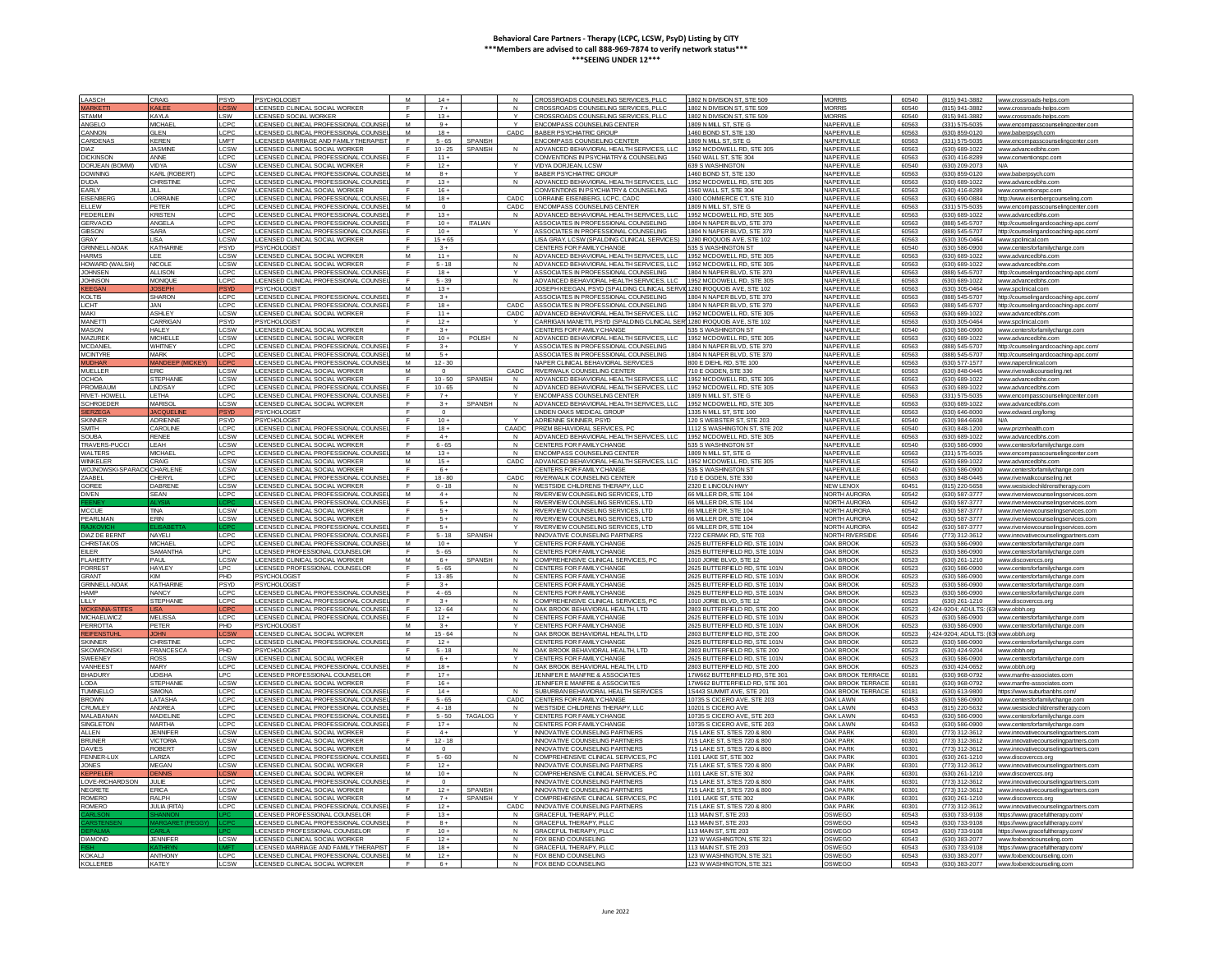| LAASCH               | CRAIG                  | PSYD            | PSYCHOLOGIST                                 | M              | $14 +$         |                |              | CROSSROADS COUNSELING SERVICES, PLLO                                     | 1802 N DIVISION ST, STE 509    | <b>MORRIS</b>            | 60540 | (815) 941-3882       | www.crossroads-helps.com              |
|----------------------|------------------------|-----------------|----------------------------------------------|----------------|----------------|----------------|--------------|--------------------------------------------------------------------------|--------------------------------|--------------------------|-------|----------------------|---------------------------------------|
|                      |                        |                 |                                              | $\mathbb{F}$   |                |                |              |                                                                          |                                |                          |       |                      |                                       |
| <b>ARKETT</b>        | KALEE                  |                 | <b>JCENSED CLINICAL SOCIAL WORKER</b>        |                | $7+$           |                | N            | CROSSROADS COUNSELING SERVICES, PLLO                                     | 1802 N DIVISION ST, STE 509    | <b>MORRIS</b>            | 60540 | (815) 941-3882       | www.crossroads-helps.com              |
| STAMM                | KAY A                  | SW              | LICENSED SOCIAL WORKER                       |                | $13 +$         |                |              | CROSSROADS COUNSELING SERVICES, PLLC                                     | 1802 N DIVISION ST, STE 509    | <b>MORRIS</b>            | 60540 | (815) 941-3882       | www.crossroads-helps.con              |
| ANGEL O              | <b>MICHAEL</b>         | LCPC            | LICENSED CLINICAL PROFESSIONAL COUNSE        | M              | $9+$           |                | $\vee$       | <b>ENCOMPASS COUNSELING CENTER</b>                                       | 1809 N MILL ST. STE G          | NAPERVILLE               | 60563 | $(331) 575 - 5035$   | www.encompasscounselingcenter.com     |
| MOINING!             | <b>GI EN</b>           | LCPC            | LICENSED CLINICAL PROFESSIONAL COLINSE       | M              | $18 +$         |                | CADC         | <b>BARER PSYCHIATRIC GROUP</b>                                           | 1460 BOND ST STE 130           | <b>NAPERVILE</b>         | 60563 | (630) 859-0120       | www.baberpsych.con                    |
| <b>ARDENAS</b>       | <b>KEREN</b>           | <b>IMFT</b>     | LICENSED MARRIAGE AND FAMILY THERAPIST       | F              | $5 - 65$       | <b>SPANISH</b> |              | <b>ENCOMPASS COUNSELING CENTER</b>                                       | 1809 N MILL ST, STE G          | NAPERVILLE               | 60563 | (331) 575-5035       | www.encompasscounselingcenter.com     |
|                      |                        |                 |                                              |                |                |                |              |                                                                          |                                |                          |       |                      |                                       |
| <b>IAZ</b>           | <b>JASMINE</b>         | CSW             | <b>JCENSED CLINICAL SOCIAL WORKET</b>        |                | $10 - 25$      | <b>SPANISH</b> | N            | DVANCED BEHAVIORAL HEALTH SERVICES, LLC                                  | 1952 MCDOWELL RD, STE 30       | NAPERVILLE               | 60563 | (630) 689-1022       | www.advancedbhs.co                    |
| <b>DICKINSON</b>     | <b>ANNE</b>            | LCPC            | LICENSED CLINICAL PROFESSIONAL COUNS         |                | $11 +$         |                |              | CONVENTIONS IN PSYCHIATRY & COUNSELING                                   | 1560 WALL ST, STE 304          | NAPERVILLE               | 60563 | (630) 416-8289       | www.conventionspc.com                 |
| ORJEAN (BOMMI)       | <b>VIDYA</b>           | LCSW            | LICENSED CLINICAL SOCIAL WORKER              | E              | $12 +$         |                |              | VIDYA DORJEAN, LCSW                                                      | 639 S WASHINGTON               | NAPERVILLE               | 60540 | (630) 209-2073       | N/A                                   |
| <b>DOWNING</b>       | KARL (ROBERT           | LCPC.           | LICENSED CLINICAL PROFESSIONAL COUNSE        | M              | $R +$          |                | $\checkmark$ | <b>BARER PSYCHIATRIC GROUP</b>                                           | 1460 BOND ST STE 130           | NAPERVILE                | 60563 | (630) 859-0120       | www.baberpsych.com                    |
| <b>DUDA</b>          | <b>CHRISTINE</b>       | CPC             | LICENSED CLINICAL PROFESSIONAL COUNSEI       | F              | $13 +$         |                | N            | ADVANCED BEHAVIORAL HEALTH SERVICES, LLC                                 | 1952 MCDOWELL RD, STE 305      | NAPERVILLE               | 60563 | (630) 689-1022       | www.advancedbhs.com                   |
|                      |                        |                 |                                              | $\blacksquare$ |                |                |              |                                                                          |                                |                          |       |                      |                                       |
| EARLY                | JILL                   | .CSW            | LICENSED CLINICAL SOCIAL WORKER              |                | $16 +$         |                |              | CONVENTIONS IN PSYCHIATRY & COUNSELING                                   | 560 WALL ST, STE 304           | NAPERVILLE               | 60563 | (630) 416-8289       | www.conventionspc.con                 |
| EISENBER             | LORRAIN                | CP <sub>C</sub> | LICENSED CLINICAL PROFESSIONAL COUNS         |                | $18 +$         |                | CADC         | LORRAINE EISENBERG, LCPC, CADO                                           | 4300 COMMERCE CT, STE 31       | NAPERVILLE               | 60563 | (630) 690-0884       | http://www.eisenbergcounseling.cor    |
| ELLEW                | PETER                  | CPC             | LICENSED CLINICAL PROFESSIONAL COUNSE        | M              | $\Omega$       |                | CADC         | <b>ENCOMPASS COUNSELING CENTER</b>                                       | 1809 N MILL ST. STE G          | NAPERVILLE               | 60563 | (331) 575-5035       | www.encompasscounselingcenter.com     |
| <b>FEDERI EIN</b>    | <b>KRISTEN</b>         | LCPC            | LICENSED CLINICAL PROFESSIONAL COUNSEL       | $\mathsf{F}$   | $13 +$         |                | $\mathsf{N}$ | ADVANCED BEHAVIORAL HEALTH SERVICES LLC                                  | 1952 MCDOWELL RD, STE 305      | NAPERVILLE               | 60563 | (630) 689-1022       | www.advancedbbs.com                   |
| GERVACIO             | ANGEL A                | LCPC            | I ICENSED CLINICAL PROFESSIONAL COUNSEL      | $\blacksquare$ | $10+$          | <b>ITALIAN</b> |              | ASSOCIATES IN PROFESSIONAL COUNSELING                                    | 1804 N NAPER BLVD, STE 370     | NAPERVILLE               | 60563 | (888) 545-5707       |                                       |
|                      |                        |                 |                                              |                |                |                |              |                                                                          |                                |                          |       |                      | http://counselingandcoaching-apc.com/ |
| <b>GIBSON</b>        | SARA                   | <b>CPC</b>      | LICENSED CLINICAL PROFESSIONAL COUNSE        | $\mathsf{F}$   | $10 +$         |                |              | ASSOCIATES IN PROFESSIONAL COUNSELING                                    | 1804 N NAPER BLVD, STE 370     | NAPERVILLE               | 60563 | (888) 545-5707       | http://counselingandcoaching-apc.com  |
| <b>RAY</b>           | I ISA                  | CSW             | LICENSED CLINICAL SOCIAL WORKER              | F              | $15 + 65$      |                |              | LISA GRAY, LCSW (SPALDING CLINICAL SERVICES                              | 1280 ROQUOIS AVE, STE 102      | NAPERVILLE               | 60563 | (630) 305-0464       | www.spclinical.com                    |
| <b>SRINNELL-NOAK</b> | KATHARIN               | 'SYD            | PSYCHOLOGIST                                 |                | $3+$           |                |              | CENTERS FOR FAMILY CHANGE                                                | 35 S WASHINGTON ST             | NAPERVILLE               | 60540 | (630) 586-0900       | www.centersforfamilychange.com        |
| <b>HARMS</b>         | LEE                    | <b>LCSW</b>     | LICENSED CLINICAL SOCIAL WORKER              | M              | $11 +$         |                | N            | ADVANCED BEHAVIORAL HEALTH SERVICES, LLC                                 | 1952 MCDOWELL RD, STE 305      | NAPERVILLE               | 60563 | (630) 689-1022       | www.advancedbhs.com                   |
| HOWARD (WALSH)       | NICOLE                 |                 |                                              | $\mathbf{r}$   | $5 - 18$       |                | N            |                                                                          |                                | <b>NAPERVILE</b>         |       | (630) 689-1022       |                                       |
|                      |                        | LCSW            | LICENSED CLINICAL SOCIAL WORKER              |                |                |                |              | ADVANCED BEHAVIORAL HEALTH SERVICES, LLC                                 | 1952 MCDOWELL RD, STE 305      |                          | 60563 |                      | www.advancedbhs.com                   |
| <b>OHNSEN</b>        | <b>ALLISON</b>         | <b>CPC</b>      | LICENSED CLINICAL PROFESSIONAL C             | $\blacksquare$ | $18 +$         |                |              | ASSOCIATES IN PROFESSIONAL COUNSELING                                    | 1804 N NAPER BLVD, STE 370     | NAPERVILLE               | 60563 | (888) 545-5707       | http://counselingandcoaching-apc.co   |
| OHNSON               | <b>MONIQUE</b>         | LCPC            | LICENSED CLINICAL PROFESSIONAL COUNSE        | F              | $5 - 39$       |                | $\mathsf{N}$ | ADVANCED BEHAVIORAL HEALTH SERVICES, LLC                                 | 1952 MCDOWELL RD, STE 30       | NAPERVILLE               | 60563 | (630) 689-1022       | www.advancedbhs.co                    |
| EEGAI                | OSEPH                  | SYD             | <b>SYCHOLOGIST</b>                           | M              | $13 +$         |                |              | JOSEPH KEEGAN, PSYD (SPALDING CLINICAL SER)                              | 280 IROQUOIS AVE, STE 102      | NAPERVILLE               | 60563 | (630) 305-0464       | www.spclinical.com                    |
| <b>KOLTIS</b>        | <b>SHARON</b>          | CPC             | LICENSED CLINICAL PROFESSIONAL COUNSE        |                | $3+$           |                |              | ASSOCIATES IN PROFESSIONAL COUNSELING                                    | 1804 N NAPER BLVD STE 370      | NAPERVILLE               | 60563 | (888) 545-5707       | http://counselingandcoaching-apc.com  |
|                      |                        |                 |                                              |                |                |                |              |                                                                          |                                |                          |       |                      |                                       |
| <b>CHT</b>           | IAN.                   | LCPC            | LICENSED CLINICAL PROFESSIONAL COUNSE        | E              | $18 +$         |                | CADC         | ASSOCIATES IN PROFESSIONAL COUNSELING                                    | 1804 N NAPER BLVD, STE 370     | NAPERVILLE               | 60563 | (888) 545-5707       | http://counselingandcoaching-apc.com/ |
| MAKI                 | <b>ASHIFY</b>          | <b>CSW</b>      | LICENSED CLINICAL SOCIAL WORKER              | $\blacksquare$ | $11 +$         |                | CADC         | ADVANCED BEHAVIORAL HEALTH SERVICES LLC.                                 | 1952 MCDOWELL RD, STE 305      | NAPERVILLE               | 60563 | (630) 689-1022       | www.advancedbhs.com                   |
| <b>MANETTI</b>       | CARRIGAN               | <b>PSYD</b>     | <b>PSYCHOLOGIST</b>                          | E              | $12 +$         |                | $\mathbf{v}$ | CARRIGAN MANETTI, PSYD (SPALDING CLINICAL SER 1280 IROQUOIS AVE, STE 102 |                                | NAPERVILLE               | 60563 | (630) 305-0464       | www.spclinical.com                    |
| <b>IASON</b>         | HALEY                  | CSW             | LICENSED CLINICAL SOCIAL WORKER              |                | $3+$           |                |              | <b>ENTERS FOR FAMILY CHANGE</b>                                          | 5 S WASHINGTON ST              | NAPERVILLE               | 60540 | (630) 586-0900       | www.centersforfamilychange.co         |
|                      |                        |                 |                                              |                |                |                |              |                                                                          |                                |                          |       |                      |                                       |
| <b>IAZUREK</b>       | <b>MICHELLI</b>        | LCSW            | LICENSED CLINICAL SOCIAL WORKER              |                | $10 +$         | <b>POLISH</b>  | N            | ADVANCED BEHAVIORAL HEALTH SERVICES. LL                                  | 1952 MCDOWELL RD, STE 305      | NAPERVILLE               | 60563 | (630) 689-1022       | www.advancedbhs.com                   |
| <b>ICDANIEL</b>      | WHITNEY                | LCPC            | LICENSED CLINICAL PROFESSIONAL COUNSE        |                | $3+$           |                |              | ASSOCIATES IN PROFESSIONAL COUNSELING                                    | 1804 N NAPER BI VD STE 370     | NAPERVILLE               | 60563 | (888) 545-5707       | http://counselingandcoaching-apc.com  |
| <b>MCINTYRE</b>      | MARK                   | LCPC            | LICENSED CLINICAL PROFESSIONAL COUNSE        | M              | $-5+$          |                |              | ASSOCIATES IN PROFESSIONAL COUNSELING                                    | 1804 N NAPER BLVD, STE 370     | NAPERVILE                | 60563 | (888) 545-5707       | http://counselingandcoaching-anc.com  |
| <b>UDHAR</b>         | <b>MANDEEP (MICKE)</b> | CPO             | <b>JCENSED CLINICAL PROFESSIONAL COUNSEI</b> | M              | $12 - 30$      |                |              | NAPER CLINICAL BEHAVIORAL SERVICES                                       | 800 F DIFHL RD, STF 100        | NAPERVILLE               | 60563 | (630) 577-1577       |                                       |
|                      |                        |                 |                                              |                |                |                |              |                                                                          |                                |                          |       |                      | www.naperclinical.com                 |
| MUELLER              | <b>ERIC</b>            | .csw            | LICENSED CLINICAL SOCIAL WORKER              | M              | $\circ$        |                | CADC         | RIVERWALK COUNSELING CENTER                                              | 710 E OGDEN, STE 330           | NAPERVILLE               | 60563 | (630) 848-0445       | www.riverwalkcounseling.net           |
| CHOA                 | <b>STEPHANI</b>        | CSW             | LICENSED CLINICAL SOCIAL WORKER              | F              | $10 - 50$      | <b>SPANIS</b>  | N            | ADVANCED BEHAVIORAL HEALTH SERVICES, LLC                                 | 1952 MCDOWELL RD, STE 305      | NAPERVILLE               | 60563 | (630) 689-1022       | www.advancedbhs.com                   |
| <b>ROMBAUN</b>       | LINDSAY                | CPC             | <b>JCENSED CLINICAL PROFESSIONAL COUNSE</b>  | E              | $10 - 65$      |                | $\mathsf{N}$ | ADVANCED BEHAVIORAL HEALTH SERVICES, LLC                                 | 1952 MCDOWELL RD, STE 305      | NAPERVILLE               | 60563 | (630) 689-1022       | www.advancedbhs.com                   |
| RIVET-HOWEL          | I FTHA                 | LCPC            | LICENSED CLINICAL PROFESSIONAL COUNSE        |                | $7+$           |                |              | ENCOMPASS COUNSELING CENTER                                              | 1809 N MILL ST. STE G          | NAPERVILLE               | 60563 | $(331)$ 575-5035     |                                       |
|                      |                        |                 |                                              |                |                |                |              |                                                                          |                                |                          |       |                      | www.encompasscounselingcenter.c       |
| <b>SCHROEDER</b>     | MARISOL                | <b>CSW</b>      | LICENSED CLINICAL SOCIAL WORKER              | F              | $3+$           | SPANISH        | N            | ADVANCED BEHAVIORAL HEALTH SERVICES. LLC                                 | 1952 MCDOWELL RD, STE 305      | NAPERVILLE               | 60563 | (630) 689-1022       | www.advancedbbs.com                   |
|                      |                        |                 | <b>SYCHOLOGIST</b>                           | $\blacksquare$ | $\Omega$       |                |              | LINDEN OAKS MEDICAL GROUP                                                | 1335 N MILL ST, STE 100        | NAPERVILLE               | 60563 | (630) 646-8000       | www.edward.org/lomg                   |
| <b>SKINNER</b>       | ADRIENNE               | PSYD            | PSYCHOLOGIST                                 | F              | $10 +$         |                |              | ADRIENNE SKINNER, PSYD                                                   | 120 S WEBSTER ST, STE 20       | NAPERVILLE               | 60540 | (630) 984-6608       | N/A                                   |
|                      |                        |                 |                                              |                |                |                |              |                                                                          |                                |                          |       |                      |                                       |
| <b>SMITH</b>         | CAROLINI               | <b>CPC</b>      | LICENSED CLINICAL PROFESSIONAL COUNSE        |                | $18 +$         |                | CAADC        | <b>RIZM BEHAVIORAL SERVICES, PO</b>                                      | 1112 S WASHINGTON ST. STE 202  | NAPERVILLE               | 60540 | (630) 848-1200       | www.prizmhealth.com                   |
| SOUBA                | <b>RENEE</b>           | <b>CSW</b>      | LICENSED CLINICAL SOCIAL WORKER              |                | $4+$           |                | N            | ADVANCED BEHAVIORAL HEALTH SERVICES, LLC                                 | 1952 MCDOWELL RD, STE 305      | NAPERVILLE               | 60563 | (630) 689-1022       | www.advancedbhs.cor                   |
| <b>RAVERS-PUCCI</b>  | LEAH                   | <b>CSW</b>      | LICENSED CLINICAL SOCIAL WORKER              | E              | $6 - 65$       |                | N            | CENTERS FOR FAMILY CHANGE                                                | 535 S WASHINGTON ST            | NAPERVILLE               | 60540 | (630) 586-0900       | www.centersforfamilychange.com        |
| WAI TERS             | <b>MICHAEL</b>         | LCPC            | LICENSED CLINICAL PROFESSIONAL COUNSE        | M              | $13+$          |                | $\mathsf{N}$ | <b>ENCOMPASS COUNSELING CENTER</b>                                       | 1809 N MILL ST. STE G.         | NAPERVILLE               | 60563 | $(331) 575 - 5035$   | www.encompasscounselingcenter.com     |
|                      |                        |                 |                                              |                |                |                |              |                                                                          |                                |                          |       |                      |                                       |
| VINKELER             | CRAIG                  | .csw            | LICENSED CLINICAL SOCIAL WORKER              | M              | $15+$          |                | CADC         | ADVANCED BEHAVIORAL HEALTH SERVICES, LLC                                 | 1952 MCDOWELL RD, STE 305      | NAPERVILLE               | 60563 | (630) 689-1022       | www.advancedbhs.com                   |
| VOJNOWSKI-SPAR       | CHARLEN                | .CSW            | LICENSED CLINICAL SOCIAL WORKER              |                | $6+$           |                |              | CENTERS FOR FAMILY CHANGE                                                | 35 S WASHINGTON ST             | NAPERVILLE               | 60540 | (630) 586-0900       | www.centersforfamilychange.cor        |
| AABFI                | <b>HFRY</b>            | CPC             | LICENSED CLINICAL PROFESSIONAL COUNS         |                | $18 - 80$      |                | CADC         | RIVERWALK COUNSELING CENTER                                              | 710 E OGDEN, STE 330           | NAPERVILLE               | 60563 | (630) 848-0445       | www.riverwalkcounseling.ne            |
| ORFF                 | DABRENI                | CSW             | LICENSED CLINICAL SOCIAL WORKER              | E              | $0 - 18$       |                | N            | WESTSIDE CHI DRENS THERAPY LLC                                           | 2320 E LINCOLN HWY             | NEW I FNOX               | 60451 | (815) 220-5658       | www.westsidechildrenstherapy.com      |
|                      |                        |                 |                                              |                |                |                |              |                                                                          |                                |                          |       |                      |                                       |
| <b>DIVEN</b>         | SEAN                   | LCPC            | LICENSED CLINICAL PROFESSIONAL COUNSE        | M              | $4+$           |                | $\mathsf{N}$ | RIVERVIEW COUNSELING SERVICES LTD                                        | 66 MILLER DR. STE 104          | NORTH AUROR.             | 60542 | (630) 587-3777       | www.riverviewcounselingservices.co    |
|                      |                        |                 | LICENSED CLINICAL PROFESSIONAL COUNSEL       | F              | $5+$           |                | N            | RIVERVIEW COUNSELING SERVICES LTD.                                       | 66 MILLER DR STE 104           | NORTH ALIRORA            | 60542 | (630) 587-3777       | www.riverviewcounselingservices.com   |
| <b>MCCUE</b>         | <b>TINA</b>            | LCSW            | LICENSED CLINICAL SOCIAL WORKEI              |                | $5+$           |                | $\mathsf N$  | RIVERVIEW COUNSELING SERVICES, LTD                                       | 66 MILLER DR, STE 104          | <b>NORTH AUROR</b>       | 60542 | (630) 587-3777       | www.riverviewcounselings              |
| PEARLMAN             | <b>ERIN</b>            | LCSW            | LICENSED CLINICAL SOCIAL WORKER              |                | $5+$           |                | N            | RIVERVIEW COUNSELING SERVICES. LTD                                       | 66 MILLER DR. STE 104          | NORTH AURORA             | 60542 | (630) 587-3777       |                                       |
|                      |                        |                 |                                              |                |                |                |              |                                                                          |                                |                          |       |                      | www.riverviewcounselingservices.con   |
|                      |                        |                 | LICENSED CLINICAL PROFESSIONAL COUNSE        |                | $5+$           |                |              | RIVERVIEW COUNSELING SERVICES. LTD                                       | 66 MILLER DR. STE 104          | NORTH AURORA             | 60542 | (630) 587-3777       | www.riverviewcounselingservices.com   |
| <b>JIAZ DE BERN</b>  | NAYELI                 | LCPC            | LICENSED CLINICAL PROFESSIONAL COUNSE        | E              | $5 - 18$       | <b>SPANISH</b> |              | <b>INNOVATIVE COUNSELING PARTNERS</b>                                    | 7222 CERMAK RD, STE 703        | <b>NORTH RIVERSIDE</b>   | 60546 | (773) 312-3612       | www.innovativecounselingpartners.com  |
| CHRISTAKOS           | <b>MICHAEL</b>         | LCPC            | LICENSED CLINICAL PROFESSIONAL COUNSEL       | M              | $10+$          |                |              | CENTERS FOR FAMILY CHANGE                                                | 2625 BUTTEREIELD RD, STE 101N  | <b>OAK BROOK</b>         | 60523 | (630) 586-0900       | www.centersforfamilychange.com        |
| ELER                 | SAMANTHA               | LPC.            | LICENSED PROFESSIONAL COUNSELOR              | - F            | $5 - 65$       |                | N            | CENTERS FOR FAMILY CHANGE                                                | 2625 BUTTERFIELD RD. STE 101N  | <b>OAK BROOK</b>         | 60523 | (630) 586-0900       | www.centersforfamilychange.com        |
|                      |                        |                 |                                              |                |                |                |              |                                                                          |                                |                          |       |                      |                                       |
| FLAHERTY             | PAUL                   | .CSW            | <b>JCENSED CLINICAL SOCIAL WORKER</b>        | M              | $6+$           | <b>SPANISI</b> | $\mathsf{N}$ | COMPREHENSIVE CLINICAL SERVICES, PC                                      | 010 JORIE BLVD, STE 12         | OAK BROOK                | 60523 | (630) 261-1210       | ww.discoverccs.org                    |
| ORREST               | <b>HAYLEY</b>          | IPC             | LICENSED PROFESSIONAL COUNSELOR              |                | $5 - 65$       |                | $\mathsf{N}$ | CENTERS FOR FAMILY CHANGE                                                | 2625 BUTTEREIELD RD, STE 101N  | <b>OAK BROOK</b>         | 60523 | (630) 586-0900       | www.centersforfamilychange.com        |
| <b>RANT</b>          | KIM                    | PH <sub>D</sub> | <b>PSYCHOLOGIST</b>                          | F              | $13 - 85$      |                | $\mathbf{N}$ | CENTERS FOR FAMILY CHANGE                                                | 2625 BUTTERFIELD RD, STE 101N  | <b>OAK BROOK</b>         | 60523 | (630) 586-0900       | www.centersforfamilychange.com        |
|                      |                        |                 |                                              | F.             |                |                |              |                                                                          |                                |                          |       |                      |                                       |
| RINNELL-NOAK         | <b>KATHARINE</b>       | <b>PSYD</b>     | PSYCHOLOGIST                                 |                | $3+$           |                |              | CENTERS FOR FAMILY CHANGE                                                | 2625 BUTTERFIELD RD, STE 101N  | <b>OAK BROOK</b>         | 60523 | (630) 586-0900       | www.centersforfamilychange.com        |
| HAMP                 | <b>NANCY</b>           | CPC             | <b>ICENSED CLINICAL PROFESSIONAL COUNSE</b>  | $\blacksquare$ | $4 - 65$       |                | $\mathbf{M}$ | CENTERS FOR FAMILY CHANGE                                                | 2625 BUTTERFIELD RD, STE 101N  | <b>OAK BROOK</b>         | 60523 | (630) 586-0900       | www.centersforfamilychange.con        |
| LLY.                 | <b>STEPHANIE</b>       | <b>CPC</b>      | LICENSED CLINICAL PROFESSIONAL COUNSE        | $\blacksquare$ | $3+$           |                | N            | COMPREHENSIVE CLINICAL SERVICES, PC                                      | 1010 JORIE BLVD, STE 12        | OAK BROOK                | 60523 | (630) 261-1210       | www.discoverccs.org                   |
| CKENNA               |                        |                 | LICENSED CLINICAL PROFESSIONAL COUNSE        |                | $12 - 64$      |                | N            | OAK BROOK BEHAVIORAL HEALTH, LTD                                         | 2803 BUTTERFIELD RD, STE 200   | OAK BROOK                | 60523 | 24-9204: ADULTS: (6  | www.obbh.org                          |
| <b>MICHAELWICZ</b>   | MFI ISSA               | LCPC            | LICENSED CLINICAL PROFESSIONAL COUNSE        |                | $12 +$         |                | $\mathsf{N}$ | CENTERS FOR FAMILY CHANGE                                                | 2625 BUTTERFIELD RD, STE 101N  | <b>OAK BROOK</b>         | 60523 | (630) 586-0900       | www.centersforfamilychange.com        |
|                      |                        |                 |                                              |                |                |                |              |                                                                          |                                |                          |       |                      |                                       |
| <b>PERROTTA</b>      | PETER                  | PHD             | <b>PSYCHOLOGIST</b>                          | M              | $3+$           |                | Y            | CENTERS FOR FAMILY CHANGE                                                | 2625 BUTTERFIELD RD, STE 101N  | OAK BROOK                | 60523 | (630) 586-0900       | www.centersforfamilychange.com        |
| <b>EIFFNST</b>       |                        |                 | LICENSED CLINICAL SOCIAL WORKER              | M              | $15 - 64$      |                | $\mathsf{N}$ | OAK BROOK BEHAVIORAL HEALTH LTD                                          | 2803 BUTTERFIELD RD, STE 200   | <b>OAK BROOK</b>         | 60523 | 424-9204: ADULTS: (6 | www.obbb.org                          |
| <b>SKINNER</b>       | <b>CHRISTINE</b>       | LCPC            | LICENSED CLINICAL PROFESSIONAL COUNSE        | F              | $12+$          |                |              | CENTERS FOR FAMILY CHANGE                                                | 2625 BUTTEREIELD RD, STE 101N  | <b>OAK BROOK</b>         | 60523 | (630) 586-0900       | www.centersforfamilychange.com        |
| <b>KOWRONSK</b>      | FRANCESC.              | PHD             | <b>SYCHOLOGIST</b>                           |                | $5 - 18$       |                | N            | OAK BROOK BEHAVIORAL HEALTH. LTD                                         | 2803 BUTTERFIELD RD, STE 200   | OAK BROOK                | 60523 | (630) 424-9204       | www.obbh.org                          |
| <b>SWEENEY</b>       | <b>ROSS</b>            | CSW             | LICENSED CLINICAL SOCIAL WORKER              | M              |                |                |              | CENTERS FOR FAMILY CHANGE                                                | 2625 BUTTERFIELD RD, STE 101N  | <b>OAK BROOK</b>         | 60523 | (630) 586-0900       |                                       |
|                      |                        |                 |                                              |                | $6+$           |                |              |                                                                          |                                |                          |       |                      | www.centersforfamilychange.com        |
| <b>VANHEEST</b>      | MARY                   | C <sub>PC</sub> | LICENSED CLINICAL PROFESSIONAL COUNSE        | E              | $18 +$         |                | $\mathbf{N}$ | OAK BROOK BEHAVIORAL HEALTH LTD                                          | 2803 BUTTERFIELD RD, STE 200   | <b>OAK BROOK</b>         | 60523 | (630) 424-0652       | www.obbb.org                          |
| <b>BHADURY</b>       | <b>UDISHA</b>          | I PC            | <b>ICENSED PROFESSIONAL COUNSELOR</b>        |                | $17+$          |                |              | JENNIFER E MANERE & ASSOCIATE:                                           | 17W662 BUTTERFIELD RD STE 30   | <b>OAK BROOK TERRAC</b>  | 60181 | (630) 968-0792       | ww.manfre-associates.cor              |
| ODA                  | STEPHANIE              | CSW             | LICENSED CLINICAL SOCIAL WORKER              | $\mathbf{F}$   | $16 +$         |                |              | JENNIFER E MANERE & ASSOCIATES                                           | 17W662 BUTTERFIELD RD. STE 301 | <b>OAK BROOK TERRACE</b> | 60181 | (630) 968-0792       | www.manfre-associates.com             |
| UMNELLO              | <b>SIMONA</b>          | CPC             | LICENSED CLINICAL PROFESSIONAL COUNS         | $\blacksquare$ | $14 +$         |                |              | SUBURBAN BEHAVIORAL HEALTH SERVICE:                                      | 1S443 SUMMIT AVE, STE 201      | OAK BROOK TERRAO         | 60181 | (630) 613-9800       | https://www.suburbanbhs.com           |
|                      |                        |                 |                                              |                |                |                |              |                                                                          |                                |                          |       |                      |                                       |
| <b>BROWN</b>         | LATASHA                | LCPC            | LICENSED CLINICAL PROFESSIONAL COUNSE        | F              | $5 - 65$       |                | CADC         | CENTERS FOR FAMILY CHANGE                                                | 10735 S CICERO AVE, STE 203    | <b>OAK LAWN</b>          | 60453 | (630) 586-0900       | www.centersforfamilychange.com        |
| CRUMLEY              | ANDREA                 | LCPC            | LICENSED CLINICAL PROFESSIONAL COUNSE        |                | $4 - 18$       |                | N            | WESTSIDE CHILDRENS THERAPY. LL                                           | 10201 S CICERO AVE             | <b>OAK LAWN</b>          | 60453 | (815) 220-5632       | www.westsidechildrenstherapy.com      |
| MALABANAI            | <b>MADELINE</b>        | LCPC            | LICENSED CLINICAL PROFESSIONAL COUNSEI       | E              | $5 - 50$       | TAGALOG        |              | CENTERS FOR FAMILY CHANGE                                                | 10735 S CICERO AVE, STE 203    | <b>OAK LAWN</b>          | 60453 | (630) 586-0900       | www.centersforfamilychange.com        |
| SINGLETON            | <b>MARTHA</b>          | <b>CPC</b>      | LICENSED CLINICAL PROFESSIONAL COUNSEL       | F              | $17+$          |                | $\mathsf{N}$ | CENTERS FOR FAMILY CHANGE                                                | 10735 S CICERO AVE STE 203     | <b>OAK LAWN</b>          | 60453 | (630) 586-0900       | www.centersforfamilychange.com        |
|                      |                        |                 |                                              |                |                |                |              |                                                                          |                                |                          |       |                      |                                       |
| <b>ALLEN</b>         | <b>JENNIFFR</b>        | LCSW            | LICENSED CLINICAL SOCIAL WORKER              | F              | $4+$           |                |              | <b>INNOVATIVE COUNSELING PARTNER</b>                                     | 715 LAKE ST. STES 720 & 800    | <b>OAK PARK</b>          | 60301 | (773) 312-3612       | www.innovativecounselingpartners.cr   |
| <b>BRUNER</b>        | <b>VICTORIA</b>        | .CSW            | LICENSED CLINICAL SOCIAL WORKER              | F.             | $12 - 18$      |                |              | <b>INNOVATIVE COUNSELING PARTNERS</b>                                    | 715 LAKE ST, STES 720 & 800    | <b>OAK PARK</b>          | 60301 | (773) 312-3612       | www.innovativecounselingpartners.com  |
| <b>AVIES</b>         | ROBERT                 | CSW             | <b>JCENSED CLINICAL SOCIAL WORKER</b>        | M              | $\overline{0}$ |                |              | NNOVATIVE COUNSELING PARTNERS                                            | 15 LAKE ST, STES 720 & 800     | <b>OAK PARK</b>          | 60301 | (773) 312-3612       | www.innovativecounselingpartners.com  |
|                      |                        |                 |                                              |                |                |                |              |                                                                          |                                |                          |       |                      |                                       |
| <b>FENNER-LL</b>     | LARIZA                 | LCPC            | LICENSED CLINICAL PROFESSIONAL COU           | Ē              | $5 - 60$       |                |              | COMPREHENSIVE CLINICAL SERVICES. P                                       | 1101 LAKE ST, STE 302          | <b>OAK PARK</b>          | 60301 | (630) 261-1210       | www.discoverccs.org                   |
| <b>ONES</b>          | <b>MEGAN</b>           | LCSW            | LICENSED CLINICAL SOCIAL WORKER              | $\mathsf{F}$   | $12+$          |                |              | INNOVATIVE COUNSELING PARTNERS                                           | 715 LAKE ST. STES 720 & 800    | <b>OAK PARK</b>          | 60301 | (773) 312-3612       | www.innovativecounselingpartners.com  |
| <b>EPPELE</b>        | <b>JENNI</b>           |                 | <b>ICENSED CLINICAL SOCIAL WORKER</b>        | M              | $10 +$         |                |              | COMPREHENSIVE CLINICAL SERVICES. P                                       | 1101   AKE ST STE 302          | <b>OAK PARK</b>          | 60301 | (630) 261-1210       | www.discoverccs.org                   |
| OVE-RICHARDSON       | JULIE                  | LCPC            | LICENSED CLINICAL PROFESSIONAL COUNSE        | $\blacksquare$ | $\Omega$       |                |              | <b>INNOVATIVE COUNSELING PARTNERS</b>                                    | 715 LAKE ST, STES 720 & 800    | <b>OAK PARK</b>          | 60301 | (773) 312-3612       | www.innovativecounselingpartners.con  |
|                      |                        |                 |                                              |                |                |                |              |                                                                          |                                |                          |       |                      |                                       |
| NEGRETE              | <b>ERICA</b>           | LCSW            | LICENSED CLINICAL SOCIAL WORKER              |                | $12 +$         | <b>SPANISH</b> |              | <b>INNOVATIVE COUNSELING PARTNERS</b>                                    | 15 LAKE ST, STES 720 & 800     | <b>OAK PARK</b>          | 60301 | (773) 312-3612       | www.innovativecounselingpartners.com  |
| ROMERO               | <b>RAI PH</b>          | <b>LCSW</b>     | LICENSED CLINICAL SOCIAL WORKER              | M              | $7+$           | SPANISH        |              | COMPREHENSIVE CLINICAL SERVICES, PC                                      | 1101   AKE ST STE 302          | <b>OAK PARK</b>          | 60301 | $(630)$ 261-1210     | www.discoverccs.org                   |
| ROMERO               | <b>JULIA (RITA)</b>    | LCPC            | LICENSED CLINICAL PROFESSIONAL COUNSE        | E              | $12 +$         |                | CADC         | <b>INNOVATIVE COUNSELING PARTNERS</b>                                    | 715 LAKE ST. STES 720 & 800    | <b>OAK PARK</b>          | 60301 | (773) 312-3612       | www.innovativecounselingpartners.com  |
|                      |                        |                 | <b>ICENSED PROFESSIONAL COUNSELOR</b>        | F              | $13+$          |                | N            | GRACEFUL THERAPY PLLC                                                    | 113 MAIN ST, STE 203           | OSWEGO                   | 60543 | (630) 733-9108       |                                       |
|                      |                        |                 |                                              |                |                |                |              |                                                                          |                                |                          |       |                      | https://www.gracefultherapy.com/      |
|                      |                        |                 | LICENSED CLINICAL PROFESSIONAL COUNSE        | - F            | $8+$           |                | N            | GRACEFUL THERAPY PLLC                                                    | 113 MAIN ST, STE 203           | OSWEGO                   | 60543 | (630) 733-9108       | https://www.gracefultherapy.com/      |
|                      |                        |                 | ICENSED PROFESSIONAL COUNSELO                |                | $10 +$         |                | N            | <b>GRACEFUL THERAPY, PLLO</b>                                            | 113 MAIN ST, STE 203           | OSWEGC                   | 60543 | (630) 733-9108       | https://www.gracefultherapy.com       |
| <b>DIAMOND</b>       | <b>JENNIFER</b>        | <b>LCSW</b>     | LICENSED CLINICAL SOCIAL WORKER              |                | $12 +$         |                | N            | FOX BEND COUNSELING                                                      | 123 W WASHINGTON, STE 321      | OSWEGO                   | 60543 | (630) 383-2077       | www.foxbendcounseling.com             |
|                      |                        |                 |                                              |                |                |                |              |                                                                          |                                |                          |       |                      |                                       |
|                      |                        |                 | <b>ICENSED MARRIAGE AND FAMILY THERAPIST</b> | E              | $18 +$         |                | N            | <b>GRACEFUL THERAPY, PLLO</b>                                            | 113 MAIN ST, STE 203           | OSWEGO                   | 60543 | (630) 733-9108       | https://www.gracefultherapv.com       |
| KOKAL J              | <b>ANTHONY</b>         | LCPC            | LICENSED CLINICAL PROFESSIONAL COUNSEL       | M              | $12+$          |                | $\mathsf{N}$ | FOX BEND COUNSELING                                                      | 123 W WASHINGTON, STE 321      | OSWEGO                   | 60543 | (630) 383-2077       | www.foxbendcounseling                 |
|                      |                        |                 |                                              |                |                |                | $\mathsf{N}$ | FOX BEND COUNSELING                                                      | 123 W WASHINGTON, STE 321      | OSWEGO                   | 60543 | (630) 383-2077       | www.foxbendcounseling                 |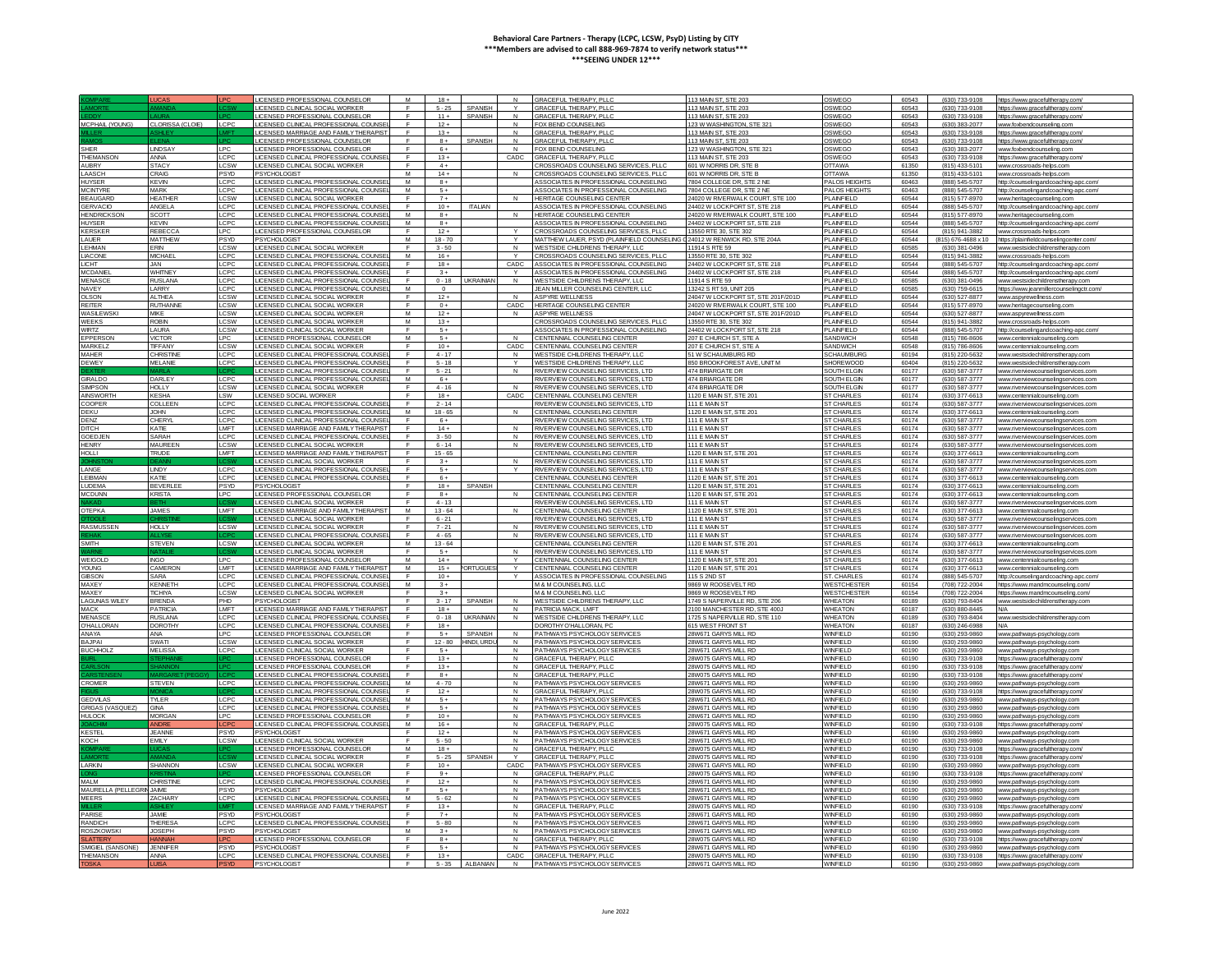|                         | <b>UCAS</b>      |              | ICENSED PROFESSIONAL COUNSELOR                        | M              | $18 +$            |                  | $\mathbf{M}$   | GRACEFUL THERAPY PLLC                                        | 113 MAIN ST, STE 203                         | OSWEGO                       | 60543          | (630) 733-9108                   | https://www.gracefultherapy.com/                    |
|-------------------------|------------------|--------------|-------------------------------------------------------|----------------|-------------------|------------------|----------------|--------------------------------------------------------------|----------------------------------------------|------------------------------|----------------|----------------------------------|-----------------------------------------------------|
|                         |                  |              | LICENSED CLINICAL SOCIAL WORKER                       | F.             | $5 - 25$          | <b>SPANISH</b>   |                | <b>GRACEFUL THERAPY, PLLC</b>                                | 13 MAIN ST, STE 203                          | OSWEGO                       | 60543          | (630) 733-9108                   | https://www.gracefultherapv.com                     |
|                         |                  |              |                                                       |                |                   |                  |                |                                                              |                                              |                              |                |                                  |                                                     |
|                         |                  |              | <b>ICENSED PROFESSIONAL COUNSELOI</b>                 |                | $11 +$            | <b>SPANISI</b>   |                | <b>GRACEFUL THERAPY, PLLO</b>                                | 113 MAIN ST, STE 203                         | OSWEGO                       | 60543          | (630) 733-9108                   | https://www.gracefultherapy.cor                     |
| MCPHAIL (YOUNG)         | CLORISSA (CLOIE) | LCPC         | ICENSED CLINICAL PROFESSIONAL COUNS                   |                | $12 +$            |                  | $\mathsf{N}$   | FOX BEND COUNSELING                                          | 23 W WASHINGTON, STE 321                     | OSWEGO                       | 60543          | (630) 383-2077                   | www.foxbendcounseling.com                           |
|                         |                  |              | <b>ICENSED MARRIAGE AND FAMILY THE RAPIS</b>          | <b>F</b>       | $13+$             |                  | N              | GRACEEUL THERAPY PLLC                                        | 113 MAIN ST, STE 203                         | OSWEGO                       | 60543          | (630) 733-9108                   | https://www.gracefultherany.com                     |
|                         |                  |              | <b>ICENSED PROFESSIONAL COUNSELOR</b>                 | E.             | $8+$              | SPANISH          | N              | GRACEFUL THERAPY PLLC                                        | 113 MAIN ST, STE 203                         | OSWEGO                       | 60543          | (630) 733-9108                   | https://www.gracefultherapy.com/                    |
| <b>SHER</b>             | LINDSAY          | I PC         | <b>ICENSED PROFESSIONAL COUNSELOR</b>                 | $\mathsf{F}$   | $6+$              |                  | N              | FOX BEND COUNSELING                                          | 123 W WASHINGTON, STE 321                    | OSWEGO                       | 60543          | (630) 383-2077                   | www.foxbendcounseling.c                             |
|                         |                  |              |                                                       | $\blacksquare$ |                   |                  |                |                                                              |                                              |                              |                |                                  |                                                     |
| THEMANSON               | ANNA             | LCPC         | ICENSED CLINICAL PROFESSIONAL COUI                    |                | $13 +$            |                  | CADC           | GRACEFUL THERAPY, PLL                                        | 13 MAIN ST, STE 203                          | OSWEGO                       | 60543          | (630) 733-9108                   | https://www.gracefultherapy.com                     |
| <b>AUBRY</b>            | <b>STAC</b>      | <b>CSW</b>   | <b>ICENSED CLINICAL SOCIAL WORKER</b>                 |                | $4+$              |                  |                | CROSSROADS COUNSELING SERVICES, PLLO                         | 01 W NORRIS DR. STE B                        | OTTAWA                       | 61350          | (815) 433-5101                   | www.crossroads-helps.com                            |
| LAASCH                  | CRAIG            | PSYD         | PSYCHOLOGIST                                          | M              | $14 +$            |                  |                | CROSSROADS COUNSELING SERVICES. PLLC                         | 601 W NORRIS DR. STE B                       | <b>OTTAWA</b>                | 61350          | (815) 433-5101                   | www.crossroads-belos.com                            |
| <b>HUYSER</b>           | <b>KEVIN</b>     | LCPC         | LICENSED CLINICAL PROFESSIONAL COUNSE                 | M              | $8+$              |                  |                | ASSOCIATES IN PROFESSIONAL COUNSELING                        | 7804 COLLEGE DR STE 2 NE                     | PAI OS HEIGHTS               | 60463          | (888) 545-5707                   | http://counselingandcoaching-apc.com                |
| <b>MCINTYRE</b>         | MARK             | <b>CPC</b>   | <b>JCENSED CLINICAL PROFESSIONAL COUNSE</b>           | M              | $-5+$             |                  |                | ASSOCIATES IN PROFESSIONAL COUNSELING                        | 7804 COLLEGE DR. STE 2 NE                    | PALOS HEIGHTS                | 60463          | (888) 545-5707                   | http://counselingandcoaching-apc.con                |
|                         |                  |              |                                                       | $\mathbf{r}$   | $7+$              |                  |                |                                                              |                                              |                              |                |                                  |                                                     |
| <b>BEAUGARD</b>         | <b>HEATHER</b>   | <b>CSW</b>   | <b>ICENSED CLINICAL SOCIAL WORKER</b>                 |                |                   |                  |                | HERITAGE COUNSELING CENTER                                   | 24020 W RMERWALK COURT, STE 100              | PLAINFIELD                   | 60544          | (815) 577-8970                   | www.heritagecounseling.com                          |
| <b>GERVACIO</b>         | ANGELA           | <b>CPC</b>   | ICENSED CLINICAL PROFESSIONAL COUNS                   |                | $10 +$            | <b>ITALIAN</b>   |                | ASSOCIATES IN PROFESSIONAL COUNSELING                        | 24402 W LOCKPORT ST. STE 218                 | PLAINFIELD                   | 60544          | (888) 545-5707                   | http://counselingandcoaching-apc.com                |
| <b>HENDRICKSOI</b>      | SCOTT            | <b>LCPC</b>  | ICENSED CLINICAL PROFESSIONAL COUNSE                  | M              | $8+$              |                  |                | HERITAGE COUNSELING CENTER                                   | 24020 W RMERWALK COURT STE 100               | <b>PLAINFIELD</b>            | 60544          | (815) 577-8970                   | www.heritagecounseling.com                          |
| <b>HUYSER</b>           | <b>KFVIN</b>     | LCPC         | <b>ICENSED CLINICAL PROFESSIONAL COUNSE</b>           | м              | $8+$              |                  |                | ASSOCIATES IN PROFESSIONAL COUNSELING                        | 24402 W LOCKPORT ST. STE 218                 | PI AINFIFI D                 | 60544          | (888) 545-5707                   | http://counselingandcoaching-anc.com/               |
| <b>KERSKER</b>          | <b>REBECCA</b>   | LPC.         | <b>ICENSED PROFESSIONAL COUNSELOR</b>                 | E.             | $12+$             |                  |                | CROSSROADS COUNSELING SERVICES. PLLC                         | 13550 RTF 30 STF 302                         | PI AINFIFI D                 | 60544          | (815) 941-3882                   | www.crossroads-helps.com                            |
| <b>I AUFR</b>           |                  |              |                                                       | M              | $18 - 70$         |                  | $\vee$         |                                                              |                                              | PLAINFIFLD                   | 60544          |                                  |                                                     |
|                         | <b>MATTHEW</b>   | PSYD         | <b>PSYCHOLOGIST</b>                                   |                |                   |                  |                | MATTHEW LAUER, PSYD (PLAINFIELD COUNSELING                   | 24012 W RENWICK RD, STE 204A                 |                              |                | (815) 676-4688 x 10              | https://plainfieldcounselingcenter.com              |
| <b>HMAN</b>             | ERIN             |              | ICENSED CLINICAL SOCIAL WORKER                        |                | $3 - 50$          |                  | $\,N\,$        | WESTSIDE CHILDRENS THERAPY, LLC                              | 1914 S RTE 59                                | PLAINFIELD                   | 60585          | (630) 381-0496                   | www.westsidechildrenstherapy.com                    |
| LIACONE                 | <b>MICHAE</b>    | LCPC         | JCENSED CLINICAL PROFESSIONAL COUNSI                  | M              | $16 +$            |                  |                | CROSSROADS COUNSELING SERVICES, PLL                          | 13550 RTE 30, STE 302                        | PLAINFIELD                   | 60544          | (815) 941-3882                   | www.crossroads-helps.com                            |
| <b>LICHT</b>            | JAN.             | LCPC         | ICENSED CLINICAL PROFESSIONAL COUNSE                  | E.             | $18 +$            |                  | CADC           | ASSOCIATES IN PROFESSIONAL COUNSELING                        | 24402 W LOCKPORT ST. STE 218                 | PI AINFIFI D                 | 60544          | (888) 545-5707                   | http://counselingandcoaching-apc.com                |
| MCDANIE                 | <b>WHITNEY</b>   | LCPC         | ICENSED CLINICAL PROFESSIONAL COUNSE                  | $\mathbf{r}$   | $3 +$             |                  | $\vee$         | ASSOCIATES IN PROFESSIONAL COUNSELING                        | 24402 W LOCKPORT ST. STE 218                 | PLAINEIELD                   | 60544          | (888) 545-5707                   |                                                     |
|                         |                  |              |                                                       |                |                   |                  |                |                                                              |                                              |                              |                |                                  | http://counselingandcoaching-apc.cr                 |
| <b>MENASCE</b>          | RUSI ANA         | LCPC         | ICENSED CLINICAL PROFESSIONAL COUNSE                  | $\mathsf{F}$   | $0 - 18$          | <b>UKRAINIAI</b> | $\mathbf{N}$   | WESTSIDE CHILDRENS THERAPY, LLC                              | 11914 S RTF 59                               | PLAINEIELD                   | 60585          | $(630)$ 381-0496                 | www.westsidechildrenstherapy.con                    |
| NAVEY                   | LARRY            | <b>CPC</b>   | ICENSED CLINICAL PROFESSIONAL COUNS                   | M              | $\overline{0}$    |                  |                | JEAN MILLER COUNSELING CENTER. LLC                           | 13242 S RT 59, UNIT 205                      | PLAINFIELD                   | 60585          | (630) 759-6615                   | https://www.ieanmillercounselingctr.con             |
| OLSON                   | <b>ALTHEA</b>    | LCSW         | <b>ICENSED CLINICAL SOCIAL WORKER</b>                 |                | $12 +$            |                  | N              | <b>ASPYRE WELLNESS</b>                                       | 24047 W LOCKPORT ST, STE 201F/201D           | PLAINFIELD                   | 60544          | (630) 527-8877                   | www.aspyrewellness.com                              |
| <b>REITER</b>           | <b>RUTHANN</b>   | CSW          | <b>ICENSED CLINICAL SOCIAL WORKER</b>                 |                | $0+$              |                  | CADC           | HERITAGE COUNSELING CENTER                                   | 4020 W RIVERWALK COURT STE 100               | PLAINFIELD                   | 60544          | (815) 577-8970                   | www.heritagecounseling.com                          |
| WASII FWSK              | <b>MIKE</b>      | LCSW         | <b>ICENSED CLINICAL SOCIAL WORKER</b>                 | M              | $12+$             |                  | N              | ASPYRE WELLNESS                                              | 24047 W LOCKPORT ST. STE 201E/201D           | PLAINFIFLD                   | 60544          | (630) 527-8877                   | www.aspvrewellness.com                              |
|                         |                  |              |                                                       |                |                   |                  |                |                                                              |                                              |                              |                |                                  |                                                     |
| <b>WEEKS</b>            | <b>ROBIN</b>     | <b>CSW</b>   | <b>ICENSED CLINICAL SOCIAL WORKER</b>                 | M              | $13+$             |                  |                | CROSSROADS COUNSELING SERVICES. PLLC                         | 13550 RTF 30 STF 302                         | PLAINFIFLD                   | 60544          | (815) 941-3882                   | www.crossroads-helps.com                            |
| <b>WIRTZ</b>            | LAURA            | LCSW         | ICENSED CLINICAL SOCIAL WORKER                        | F              | $5+$              |                  |                | ASSOCIATES IN PROFESSIONAL COUNSELING                        | 24402 W LOCKPORT ST, STE 218                 | <b>PLAINFIELD</b>            | 60544          | (888) 545-5707                   | http://counselingandcoaching-ap                     |
| PPERSO                  | <b>VICTOR</b>    | LPC          | <b>ICENSED PROFESSIONAL COUNSELOR</b>                 | M              | $5+$              |                  | $\mathbf{N}$   | CENTENNIAL COUNSELING CENTER                                 | 207 E CHURCH ST, STE A                       | SANDWICH                     | 60548          | (815) 786-8606                   | www.centennialcounseling.con                        |
| <b>MARKELZ</b>          | TIFFANY          | LCSW         | <b>ICENSED CLINICAL SOCIAL WORKER</b>                 |                | $10 +$            |                  | CADC           | CENTENNIAL COUNSELING CENTER                                 | 07 E CHURCH ST, STE A                        | SANDWICH                     | 60548          | (815) 786-8606                   | www.centennialcounseling.com                        |
| <b>MAHER</b>            | <b>CHRISTIN</b>  | LCPC         | <b>ICENSED CLINICAL PROFESSIONAL COUN</b>             |                | $4 - 17$          |                  | $\mathsf{N}$   | WESTSIDE CHILDRENS THERAPY, LLC                              | 51 W SCHAUMBURG RD                           | <b>SCHAUMBUR</b>             | 60194          |                                  | www.westsidechildrenstherany.c                      |
|                         |                  |              |                                                       |                |                   |                  |                |                                                              |                                              |                              |                | (815) 220-5632                   |                                                     |
| <b>DEWEY</b>            | MEI ANIE         | LCPC         | ICENSED CLINICAL PROFESSIONAL COUNSE                  | $\mathbf{F}$   | 5.18              |                  | $\vee$         | WESTSIDE CHI DRENS THERAPY LLC                               | 850 BROOKFOREST AVE, UNIT M                  | SHOREWOOD                    | 60404          | (815) 220-5632                   | www.westsidechildrenstherapy.com                    |
|                         |                  |              | ICENSED CLINICAL PROFESSIONAL COUNSE                  | $\blacksquare$ | $5 - 21$          |                  | N              | RIVERVIEW COUNSELING SERVICES LTD                            | 474 BRIARGATE DR                             | SOUTH FLGIN                  | 60177          | (630) 587-3777                   | www.riverviewcounselingservices.co                  |
| <b>GIRALDO</b>          | DARLEY           | LCPC         | ICENSED CLINICAL PROFESSIONAL COUNS                   | M              | $6+$              |                  |                | RIVERVIEW COUNSELING SERVICES. LTD                           | 474 BRIARGATE DR                             | SOUTH ELGIN                  | 60177          | (630) 587-3777                   | www.riverviewcounselingservices.co                  |
| SIMPSON                 | <b>HOLLY</b>     | <b>CSW</b>   | <b>ICENSED CLINICAL SOCIAL WORKER</b>                 |                | $4 - 16$          |                  | N              | RIVERVIEW COUNSELING SERVICES, LTD                           | <b>174 BRIARGATE DR</b>                      | SOUTH ELGIN                  | 60177          | (630) 587-3777                   | www.riverviewcounselingservices.co                  |
|                         | <b>KESHA</b>     |              |                                                       |                |                   |                  |                |                                                              | 1120 F MAIN ST. STF 20                       |                              | 60174          | (630) 377-6613                   |                                                     |
| <b>AINSWORTH</b>        |                  | <b>SW</b>    | <b>ICENSED SOCIAL WORKER</b>                          |                | $18 +$            |                  | CADC           | CENTENNIAL COUNSELING CENTER                                 |                                              | <b>ST CHARLES</b>            |                |                                  | www.centennialcounseling.cor                        |
| COOPER                  | COLLEEN          | LCPC         | <b>ICENSED CLINICAL PROFESSIONAL COUNSE</b>           | $\mathbf{F}$   | $2 - 14$          |                  |                | RIVERVIEW COUNSELING SERVICES LTD.                           | 111 F MAIN ST                                | <b>ST CHARLES</b>            | 60174          | (630) 587-3777                   | www.riverviewcourselingservices.com                 |
| DEKU                    | <b>UHOL</b>      | <b>CPC</b>   | ICENSED CLINICAL PROFESSIONAL COUNSE                  | M              | $18 - 65$         |                  | $\mathbf{M}$   | CENTENNIAL COUNSELING CENTER                                 | 1120 F MAIN ST, STE 201                      | ST CHARLES                   | 60174          | (630) 377-6613                   | www.centennialcounseling.com                        |
| DENZ                    | CHERYL           | LCPC         | ICENSED CLINICAL PROFESSIONAL COUNSI                  | F              | $6+$              |                  |                | RIVERVIEW COUNSELING SERVICES. LTD                           | 111 F MAIN ST                                | <b>ST CHARLES</b>            | 60174          | (630) 587-3777                   | www.riverviewcounselingservices.co                  |
| ПСН                     | <b>KATIE</b>     | LMFT         | <b>ICENSED MARRIAGE AND FAMILY THERAPIS</b>           |                | $14 +$            |                  | N              | RIVERVIEW COUNSELING SERVICES. LTD                           | <b>11 E MAINS</b>                            | <b>ST CHARLES</b>            | 60174          | (630) 587-3777                   | www.riverviewcounselingservices.com                 |
|                         |                  |              |                                                       |                |                   |                  |                |                                                              |                                              |                              |                |                                  |                                                     |
| <b>GOEDJEN</b>          | SARAH            | LCPC         | ICENSED CLINICAL PROFESSIONAL COUNSE                  |                | $3 - 50$          |                  | N              | RIVERVIEW COUNSELING SERVICES. LTD                           | 111 E MAIN S'                                | <b>ST CHARLES</b>            | 60174          | (630) 587-3777                   | www.riverviewcounselingservices.cor                 |
| <b>HENRY</b>            | <b>MAUREEM</b>   | LCSW         | ICENSED CLINICAL SOCIAL WORKER.                       |                | $6 - 14$          |                  | N              | RIVERVIEW COUNSELING SERVICES. LTD                           | 111 E MAIN ST                                | <b>ST CHARLES</b>            | 60174          | (630) 587-3777                   | www.riverviewcounselingservices.co                  |
| <b>HOLLI</b>            | <b>TRUDE</b>     | <b>I</b> MFT | ICENSED MARRIAGE AND FAMILY THERAPIS                  | E.             | $15 - 65$         |                  |                | CENTENNIAL COUNSELING CENTER                                 | 1120 F MAIN ST STF 201                       | ST CHARLES                   | 60174          | (630) 377-6613                   | www.centennialcounseling.com                        |
|                         |                  |              | ICENSED CLINICAL SOCIAL WORKER                        | $\mathbf{F}$   | $3+$              |                  | $\mathbf{N}$   | RIVERVIEW COUNSELING SERVICES, LTD                           | 111 E MAIN ST                                | <b>ST CHARLES</b>            | 60174          | (630) 587-3777                   | www.riverviewcounselingservices.co                  |
| LANGE                   | LINDY            | LCPC         | ICENSED CLINICAL PROFESSIONAL COUNS                   | $\mathbb{F}$   |                   |                  | $\checkmark$   |                                                              |                                              |                              | 60174          |                                  |                                                     |
|                         |                  |              |                                                       |                |                   |                  |                |                                                              |                                              |                              |                |                                  |                                                     |
|                         |                  |              |                                                       |                | $5+$              |                  |                | RIVERVIEW COUNSELING SERVICES. LTD                           | 11 E MAINS                                   | ST CHARLES                   |                | (630) 587-3777                   | www.riverviewcounselingservices.o                   |
| EBMAN                   | KATIE            | LCPC         | ICENSED CLINICAL PROFESSIONAL COUNS                   | $\mathbb{F}$   | $6+$              |                  |                | CENTENNIAL COUNSELING CENTER                                 | 1120 E MAIN ST, STE 20                       | <b>ST CHARLES</b>            | 60174          | (630) 377-6613                   | ww.centennialcounseling.cor                         |
| <b>UDEMA</b>            | BEVERLEI         | PSYD         | <b>SYCHOLOGIST</b>                                    |                | $18 +$            | <b>SPANISH</b>   |                | CENTENNIAL COUNSELING CENTER                                 | 1120 E MAIN ST, STE 201                      | <b>ST CHARLES</b>            | 60174          | (630) 377-6613                   | www.centennialcounseling.com                        |
| <b>MCDUNN</b>           | <b>KRISTA</b>    | LPC.         | LICENSED PROFESSIONAL COUNSELOR                       | $\mathbf{F}$   | $8+$              |                  |                | CENTENNIAL COUNSELING CENTER                                 | 1120 F MAIN ST, STE 201                      | ST CHARLES                   | 60174          | (630) 377-6613                   | www.centennialcounseling.con                        |
|                         |                  |              |                                                       |                |                   |                  |                |                                                              |                                              |                              |                |                                  |                                                     |
|                         |                  |              | LICENSED CLINICAL SOCIAL WORKER                       | E.             | $4 - 13$          |                  |                | RIVERVIEW COUNSELING SERVICES, LTD                           | <b>111 F MAIN ST</b>                         | ST CHARLES                   | 60174          | (630) 587-3777                   | www.riverviewcounselingservices.com                 |
| <b>OTEPKA</b>           | <b>JAMES</b>     | I MFT        | <b>ICENSED MARRIAGE AND FAMILY THERAF</b>             | M              | $13 - 64$         |                  | N              | CENTENNIAL COUNSELING CENTER                                 | 1120 E MAIN ST, STE 201                      | <b>ST CHARLES</b>            | 60174          | (630) 377-6613                   | www.centennialcounseling.con                        |
|                         |                  |              | <b>ICENSED CLINICAL SOCIAL WORKER</b>                 | F              | $6 - 21$          |                  |                | RIVERVIEW COUNSELING SERVICES. LTD                           | 111 F MAIN S'                                | <b>ST CHARLES</b>            | 60174          | (630) 587-3777                   | www.riverviewcounselingservices.c                   |
| <b>RASMUSSEN</b>        | <b>HOLLY</b>     | LCSW         | LICENSED CLINICAL SOCIAL WORKER                       |                | $7 - 21$          |                  | N              |                                                              | 111 E MAIN ST                                | <b>ST CHARLES</b>            | 60174          | (630) 587-3777                   | www.riverviewcounselingservices.cor                 |
|                         |                  |              | LICENSED CLINICAL PROFESSIONAL COUNSI                 | F.             | $4 - 65$          |                  | $\mathsf{N}$   | RIVERVIEW COUNSELING SERVICES, LTD                           | 111 E MAIN ST                                | <b>ST CHARLES</b>            | 60174          | (630) 587-3777                   | www.riverviewcounselingservices.co                  |
|                         |                  |              |                                                       |                |                   |                  |                | RIVERVIEW COUNSELING SERVICES, LTD                           |                                              |                              |                |                                  |                                                     |
| <b>SMITH</b>            | <b>STEVEN</b>    | <b>ILCSW</b> | ICENSED CLINICAL SOCIAL WORKER                        | M              | $13 - 64$         |                  |                | CENTENNIAL COUNSELING CENTER                                 | 1120 F MAIN ST. STF 201                      | ST CHARLES                   | 60174          | (630) 377-6613                   | www.centennialcounseling.com                        |
|                         |                  |              | <b>ICENSED CLINICAL SOCIAL WORKER</b>                 | $\blacksquare$ | $-5+$             |                  | N1             | RIVERVIEW COUNSELING SERVICES. I                             | 111 F MAIN ST                                | ST CHARLES                   | 60174          | (630) 587-3777                   | www.riverviewcounselingservices.                    |
| WEIGOLD                 | <b>INGO</b>      | LPC          | <b>ICENSED PROFESSIONAL COUNSELOR</b>                 | M              | $14 +$            |                  | $\checkmark$   | CENTENNIAL COUNSELING CENTER                                 | 1120 E MAIN ST, STE 201                      | <b>ST CHARLES</b>            | 60174          | (630) 377-6613                   | www.centennialcounseling.co                         |
| <b>YOUNG</b>            | <b>CAMERON</b>   | <b>MFT</b>   | <b>ICENSED MARRIAGE AND FAMILY THERAPIS</b>           | M              | $15+$             | <b>RTUGUE</b>    | Y              | CENTENNIAL COUNSELING CENTER                                 | 120 F MAIN ST. STF 201                       | ST CHARLES                   | 60174          | (630) 377-6613                   | www.centennialcounseling.con                        |
| <b>GIBSON</b>           | SARA             | <b>CPC</b>   | ICENSED CLINICAL PROFESSIONAL COUNSE                  | E              | $10 +$            |                  |                | ASSOCIATES IN PROFESSIONAL COUNSELING                        | 115 S 2ND ST                                 | ST. CHARLES                  | 60174          | (888) 545-5707                   | http://counselingandcoaching-apc.                   |
| MAXFY                   | <b>KENNETH</b>   | CPC          | <b>ICENSED CLINICAL PROFESSIONAL COUNSE</b>           | M              | $3+$              |                  |                | M & M COUNSELING LLO                                         | 9869 W ROOSEVELT RD                          | <b>WESTCHESTER</b>           | 60154          |                                  |                                                     |
|                         |                  |              |                                                       | $\mathbf{r}$   |                   |                  |                |                                                              |                                              |                              |                | (708) 722-2004                   | https://www.mandmcounseling.com                     |
| <b>MAXEY</b>            | <b>TICHIYA</b>   | CSW          | LICENSED CLINICAL SOCIAL WORKER                       |                | $3 +$             |                  |                | M & M COUNSELING LLC                                         | 9869 W ROOSEVELT RD                          | <b>WESTCHESTER</b>           | 60154          | (708) 722-2004                   | https://www.mandmcounseling.c                       |
| <b>LAGUNAS WILEY</b>    | <b>BRENDA</b>    | PHD.         | PSYCHOLOGIST                                          | F              | $3 - 17$          | SPANISH          | N              | WESTSIDE CHILDRENS THERAPY, LLC                              | 1749 S NAPERVILLE RD. STE 206                | <b>WHEATON</b>               | 60189          | (630) 793-8404                   | www.westsidechildrenstherapy.com                    |
| <b>MACK</b>             | <b>PATRICIA</b>  | LMFT         | <b>ICENSED MARRIAGE AND FAMILY THERAPIS</b>           |                | $18 +$            |                  | N              | PATRICIA MACK, LMFT                                          | 100 MANCHESTER RD. STE 400J                  | <b>WHEATON</b>               | 60187          | (630) 880-8445                   | <b>N/A</b>                                          |
| <b>MENASCI</b>          | <b>RUSLANA</b>   | LCPC         | LICENSED CLINICAL PROFESSIONAL COUNSE                 |                | $0 - 18$          | <b>UKRAINIAI</b> | N              | WESTSIDE CHILDRENS THERAPY. LLC                              | 1725 S NAPERVILLE RD, STE 110                | <b>WHEATON</b>               | 60189          | (630) 793-8404                   | www.westsidechildrenstherapy.com                    |
| <b>O'HALLORAN</b>       | <b>DOROTHY</b>   | LCPC         | ICENSED CLINICAL PROFESSIONAL COUNSE                  |                | $18 +$            |                  |                | DOROTHY O'HALLORAN, PC                                       | 615 WEST FRONT ST                            | <b>WHEATON</b>               | 60187          | (630) 246-6988                   | N/A                                                 |
|                         |                  |              |                                                       | $\mathsf{F}$   |                   |                  | N              |                                                              |                                              |                              |                |                                  |                                                     |
| ANAYA                   | ANA              | LPC          | <b>ICENSED PROFESSIONAL COUNSELOR</b>                 |                | $-5+$             | SPANISH          |                | PATHWAYS PSYCHOLOGY SERVICES                                 | 28W671 GARYS MILL RD                         | <b>WINFIFID</b>              | 60190          | (630) 293-9860                   | www.pathways-psychology.com                         |
| RA IPAL                 | <b>TAWA</b>      | LCSW         | ICENSED CLINICAL SOCIAL WORKER                        | E.             | $12 - 80$         | HINDI, URD       | N              | PATHWAYS PSYCHOLOGY SERVICES                                 | 28W671 GARYS MILL RD                         | <b>WINFIELD</b>              | 60190          | (630) 293-9860                   | www.pathways-psychology.com                         |
| <b>BUCHHOL</b>          | <b>MELISSA</b>   | LCPC         | <b>ICENSED CLINICAL SOCIAL WORKER</b>                 | $\mathbb{F}$   | $5+$              |                  | N              | PATHWAYS PSYCHOLOGY SERVICES                                 | 8W671 GARYS MILL RD                          | WINFIELD                     | 60190          | (630) 293-9860                   | www.pathways-psychology.con                         |
|                         |                  |              | <b>ICENSED PROFESSIONAL COUNSELOR</b>                 | F              | $13 +$            |                  | $\overline{N}$ | <b>GRACEEUL THERAPY PLLC</b>                                 | 8W075 GARYS MILL RD                          | <b>WINFIFID</b>              | 60190          | (630) 733-9108                   | https://www.gracefultherapy.com                     |
|                         |                  |              | LICENSED PROFESSIONAL COUNSELOR                       |                | $13 +$            |                  | N              | <b>GRACEFUL THERAPY, PLLC</b>                                | 28W075 GARYS MILL RD                         | WINFIELD                     | 60190          | (630) 733-9108                   | https://www.gracefultherapy.com                     |
|                         |                  |              |                                                       | <b>F</b>       |                   |                  | N              |                                                              |                                              |                              |                |                                  |                                                     |
|                         |                  |              | LICENSED CLINICAL PROFESSIONAL COUNS                  |                | $8+$              |                  |                | GRACEEUL THERAPY PLLC                                        | <b>28W075 GARYS MILL RD</b>                  | WINFIFI D                    | 60190          | (630) 733-9108                   | https://www.gracefultherany.c                       |
| CROMER                  | <b>STEVEN</b>    | LCPC.        | ICENSED CLINICAL PROFESSIONAL COUNSE                  | M              | $4 - 70$          |                  | N              | PATHWAYS PSYCHOLOGY SERVICES                                 | 28W671 GARYS MILL RD                         | <b>WINFIELD</b>              | 60190          | (630) 293-9860                   | www.pathways-psychology.com                         |
|                         |                  |              | LICENSED CLINICAL PROFESSIONAL COUNSE                 | $\blacksquare$ | $12 +$            |                  | $\mathsf{N}$   | GRACEFUL THERAPY, PLLO                                       | <b>8W075 GARYS MILL RD</b>                   | <b>WINFIELD</b>              | 60190          | (630) 733-9108                   | https://www.gracefultherapy.cor                     |
| <b>GEDVILAS</b>         | <b>TYLER</b>     | LCPC         | <b>JCENSED CLINICAL PROFESSIONAL COUNSE</b>           | M              | $5+$              |                  | N              | PATHWAYS PSYCHOLOGY SERVICES                                 | 28W671 GARYS MILL RD                         | <b>WINFIELD</b>              | 60190          | (630) 293-9860                   | www.pathways-psychology.con                         |
|                         |                  | LCPC         |                                                       |                | $5+$              |                  | N              |                                                              | 28W671 GARYS MILL RD                         |                              |                |                                  |                                                     |
| <b>GRIGAS (VASQUEZ)</b> | GNA              |              | ICENSED CLINICAL PROFESSIONAL COUNSI                  | F.             |                   |                  | N              | PATHWAYS PSYCHOLOGY SERVICES                                 |                                              | WINFIELD                     | 60190          | (630) 293-9860                   | www.pathways-psychology.com                         |
| <b>HULOCK</b>           | <b>MORGAN</b>    | LPC          | LICENSED PROFESSIONAL COUNSELOR                       |                | $10 +$            |                  |                | PATHWAYS PSYCHOLOGY SERVICES                                 | 28W671 GARYS MILL RD                         | WINFIELD                     | 60190          | (630) 293-9860                   | www.pathways-psychology.con                         |
|                         |                  | ∩P           | LICENSED CLINICAL PROFESSIONAL COUNSE                 | M              | $16 +$            |                  | $\mathsf{N}$   | GRACEEUL THERAPY PLLC                                        | 28W075 GARYS MILL RD                         | WINFIFI D                    | 60190          | (630) 733-9108                   | https://www.gracefultherapy.com                     |
| <b>KESTEL</b>           | <b>JEANNE</b>    | <b>PSYD</b>  | <b>SYCHOLOGIST</b>                                    | $\mathbf{r}$   | $12 +$            |                  | N              | PATHWAYS PSYCHOLOGY SERVICES                                 | 28W671 GARYS MILL RD                         | <b>WINFIELD</b>              | 60190          | (630) 293-9860                   | www.pathways-psychology.con                         |
| KOCH                    | <b>FMIY</b>      | LCSW         | ICENSED CLINICAL SOCIAL WORKER                        | F              | $5 - 50$          |                  | $\overline{N}$ | PATHWAYS PSYCHOLOGY SERVICES                                 | 28W671 GARYS MILL RD                         | WINFIELD                     | 60190          | (630) 293-9860                   | www.pathways-psychology.com                         |
|                         |                  |              | <b>ICENSED PROFESSIONAL COUNSELOR</b>                 | M              | $18 +$            |                  | N              | <b>GRACEFUL THERAPY, PLLC</b>                                | 8W075 GARYS MILL RD                          | <b>WINFIELD</b>              | 60190          | (630) 733-9108                   | https://www.gracefultherapy.com                     |
|                         |                  |              |                                                       |                |                   |                  |                |                                                              |                                              |                              |                |                                  |                                                     |
|                         |                  |              | LICENSED CLINICAL SOCIAL WORKER                       | E              | $5 - 25$          | <b>SPANISH</b>   | Y              | <b>GRACEFUL THERAPY, PLLC</b>                                | 28W075 GARYS MILL RD                         | WINFIELD                     | 60190          | (630) 733-9108                   | https://www.gracefultherapv.cor                     |
| <b>LARKIN</b>           | <b>SHANNON</b>   | <b>ICSW</b>  | LICENSED CLINICAL SOCIAL WORKER                       |                | $10 +$            |                  | CADC           | PATHWAYS PSYCHOLOGY SERVICES                                 | <b>28W671 GARYS MILL RD</b>                  | WINFIFI <sub>D</sub>         | 60190          | (630) 293-9860                   | www.pathways-psychology.com                         |
|                         |                  |              | LICENSED PROFESSIONAL COUNSELOR                       | $\blacksquare$ | $Q_{\rm th}$      |                  | N              | GRACEFUL THERAPY PLLC                                        | 28W075 GARYS MILL RD                         | WINFIFI D                    | 60190          | (630) 733-9108                   | https://www.gracefultherapy.com                     |
| MAI M                   | <b>CHRISTINE</b> | LCPC         | LICENSED CLINICAL PROFESSIONAL COUNSE                 | F.             | $12 +$            |                  | N              | PATHWAYS PSYCHOLOGY SERVICES                                 | <b>28W671 GARYS MILL RD</b>                  | WINFIELD                     | 60190          | (630) 293-9860                   | www.pathways-psychology.con                         |
| MAURELLA (PELLEGRII     | <b>JAIME</b>     | 'SYD         | <b>SYCHOLOGIST</b>                                    |                | $5+$              |                  | N              | PATHWAYS PSYCHOLOGY SERVICES                                 | 28W671 GARYS MILL RD                         | WINFIELD                     | 60190          | (630) 293-9860                   | www.pathways-psychology.com                         |
|                         |                  |              |                                                       |                |                   |                  |                |                                                              |                                              |                              |                |                                  |                                                     |
| <b>MEERS</b>            | <b>ZACHAR</b>    | LCPC         | LICENSED CLINICAL PROFESSIONAL COUNSE                 | M              | $5 - 62$          |                  | $\overline{N}$ | PATHWAYS PSYCHOLOGY SERVICES                                 | 28W671 GARYS MILL RD                         | WINFIFI D                    | 60190          | (630) 293-9860                   | www.pathways-psychology.com                         |
|                         |                  |              | LICENSED MARRIAGE AND FAMILY THERAPIST                | F.             | $13+$             |                  | N              | <b>GRACEFUL THERAPY, PLLC</b>                                | 28W075 GARYS MILL RD                         | WINFIELD                     | 60190          | (630) 733-9108                   | https://www.gracefultherapv.com                     |
| PARISE                  | JAMIF            | <b>PSYD</b>  | <b>SYCHOLOGIST</b>                                    | E              | $7+$              |                  | N              | PATHWAYS PSYCHOLOGY SERVICES                                 | 28W671 GARYS MILL RD                         | WINFIFI D                    | 60190          | (630) 293-9860                   | www.pathways-psychology.com                         |
| RANDICH                 | THERESA          | LCPC         | ICENSED CLINICAL PROFESSIONAL COUNSE                  | E.             | 5.80              |                  | N              |                                                              | 28W671 GARYS MILL RD                         | <b>WINFIELD</b>              | 60190          | (630) 293-9860                   | www.pathways-psychology.com                         |
|                         | <b>JOSEPH</b>    | 'SYD         |                                                       | M              |                   |                  | N              | PATHWAYS PSYCHOLOGY SERVICES<br>PATHWAYS PSYCHOLOGY SERVICES | <b>8W671 GARYS MILL RD</b>                   | WINFIELD                     |                |                                  |                                                     |
| <b>ROSZKOWSK</b>        |                  |              | 'SYCHOLOGIST                                          |                | $3+$              |                  |                |                                                              |                                              |                              | 60190          | (630) 293-9860                   | www.pathways-psychology.cor                         |
| ATTER                   |                  |              | <b>ICENSED PROFESSIONAL COUNSELOR</b>                 |                | $8+$              |                  | $\overline{N}$ | <b>GRACEFUL THERAPY, PLLC</b>                                | <b>8W075 GARYS MILL RD</b>                   | <b>WINFIELD</b>              | 60190          | (630) 733-9108                   | https://www.gracefultherapy.con                     |
| SMIGIEL (SANSONE)       | JENNIFER         | PSYD         | <b>PSYCHOLOGIST</b>                                   |                | $5+$              |                  | N              | PATHWAYS PSYCHOLOGY SERVICES                                 | 28W671 GARYS MILL RD                         | WINFIELD                     | 60190          | (630) 293-9860                   | www.pathways-psychology.com                         |
| THEMANSON               | ANNA             | LCPC         | LICENSED CLINICAL PROFESSIONAL COUNSE<br>PSYCHOLOGIST | $\mathbf{F}$   | $13+$<br>$5 - 35$ | ALBANIAN         | CADC.<br>N     | GRACEEUL THERAPY PLLC<br>PATHWAYS PSYCHOLOGY SERVICES        | 28W075 GARYS MILL RD<br>28W671 GARYS MILL RD | WINFIFI D<br><b>WINEIELD</b> | 60190<br>60190 | (630) 733-9108<br>(630) 293-9860 | https://www.gracefultherapy<br>www.pathways-psychol |